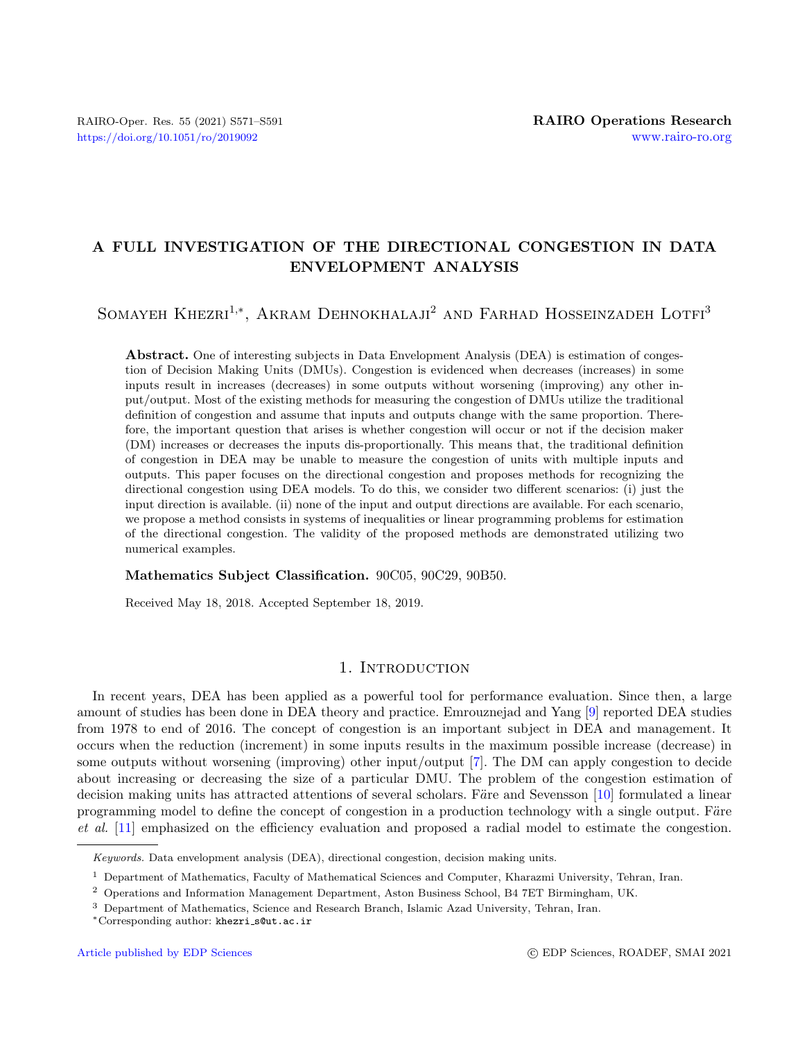# A FULL INVESTIGATION OF THE DIRECTIONAL CONGESTION IN DATA ENVELOPMENT ANALYSIS

# SOMAYEH KHEZRI<sup>1,\*</sup>, AKRAM DEHNOKHALAJI<sup>2</sup> AND FARHAD HOSSEINZADEH LOTFI<sup>3</sup>

Abstract. One of interesting subjects in Data Envelopment Analysis (DEA) is estimation of congestion of Decision Making Units (DMUs). Congestion is evidenced when decreases (increases) in some inputs result in increases (decreases) in some outputs without worsening (improving) any other input/output. Most of the existing methods for measuring the congestion of DMUs utilize the traditional definition of congestion and assume that inputs and outputs change with the same proportion. Therefore, the important question that arises is whether congestion will occur or not if the decision maker (DM) increases or decreases the inputs dis-proportionally. This means that, the traditional definition of congestion in DEA may be unable to measure the congestion of units with multiple inputs and outputs. This paper focuses on the directional congestion and proposes methods for recognizing the directional congestion using DEA models. To do this, we consider two different scenarios: (i) just the input direction is available. (ii) none of the input and output directions are available. For each scenario, we propose a method consists in systems of inequalities or linear programming problems for estimation of the directional congestion. The validity of the proposed methods are demonstrated utilizing two numerical examples.

#### Mathematics Subject Classification. 90C05, 90C29, 90B50.

Received May 18, 2018. Accepted September 18, 2019.

## 1. INTRODUCTION

In recent years, DEA has been applied as a powerful tool for performance evaluation. Since then, a large amount of studies has been done in DEA theory and practice. Emrouznejad and Yang [\[9\]](#page-19-0) reported DEA studies from 1978 to end of 2016. The concept of congestion is an important subject in DEA and management. It occurs when the reduction (increment) in some inputs results in the maximum possible increase (decrease) in some outputs without worsening (improving) other input/output [\[7\]](#page-19-1). The DM can apply congestion to decide about increasing or decreasing the size of a particular DMU. The problem of the congestion estimation of decision making units has attracted attentions of several scholars. Färe and Sevensson [\[10\]](#page-19-2) formulated a linear programming model to define the concept of congestion in a production technology with a single output. Färe et al. [\[11\]](#page-19-3) emphasized on the efficiency evaluation and proposed a radial model to estimate the congestion.

Keywords. Data envelopment analysis (DEA), directional congestion, decision making units.

<sup>1</sup> Department of Mathematics, Faculty of Mathematical Sciences and Computer, Kharazmi University, Tehran, Iran.

<sup>2</sup> Operations and Information Management Department, Aston Business School, B4 7ET Birmingham, UK.

<sup>3</sup> Department of Mathematics, Science and Research Branch, Islamic Azad University, Tehran, Iran.

<sup>∗</sup>Corresponding author: khezri [s@ut.ac.ir](mailto:khezri_s@ut.ac.ir)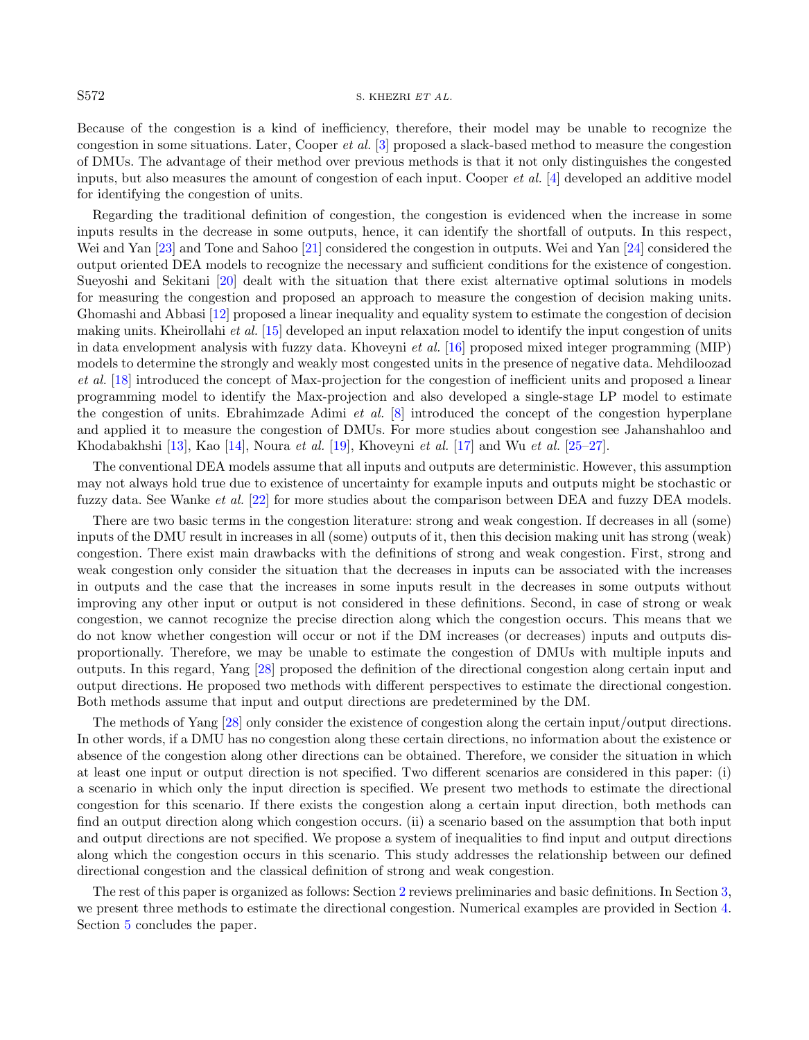#### S572 S. KHEZRI ET AL.

Because of the congestion is a kind of inefficiency, therefore, their model may be unable to recognize the congestion in some situations. Later, Cooper et al. [\[3\]](#page-19-4) proposed a slack-based method to measure the congestion of DMUs. The advantage of their method over previous methods is that it not only distinguishes the congested inputs, but also measures the amount of congestion of each input. Cooper  $et al.$  [\[4\]](#page-19-5) developed an additive model for identifying the congestion of units.

Regarding the traditional definition of congestion, the congestion is evidenced when the increase in some inputs results in the decrease in some outputs, hence, it can identify the shortfall of outputs. In this respect, Wei and Yan [\[23\]](#page-20-0) and Tone and Sahoo [\[21\]](#page-20-1) considered the congestion in outputs. Wei and Yan [\[24\]](#page-20-2) considered the output oriented DEA models to recognize the necessary and sufficient conditions for the existence of congestion. Sueyoshi and Sekitani [\[20\]](#page-20-3) dealt with the situation that there exist alternative optimal solutions in models for measuring the congestion and proposed an approach to measure the congestion of decision making units. Ghomashi and Abbasi [\[12\]](#page-19-6) proposed a linear inequality and equality system to estimate the congestion of decision making units. Kheirollahi et al. [\[15\]](#page-19-7) developed an input relaxation model to identify the input congestion of units in data envelopment analysis with fuzzy data. Khoveyni et al. [\[16\]](#page-19-8) proposed mixed integer programming (MIP) models to determine the strongly and weakly most congested units in the presence of negative data. Mehdiloozad et al. [\[18\]](#page-19-9) introduced the concept of Max-projection for the congestion of inefficient units and proposed a linear programming model to identify the Max-projection and also developed a single-stage LP model to estimate the congestion of units. Ebrahimzade Adimi *et al.*  $[8]$  introduced the concept of the congestion hyperplane and applied it to measure the congestion of DMUs. For more studies about congestion see Jahanshahloo and Khodabakhshi [\[13\]](#page-19-11), Kao [\[14\]](#page-19-12), Noura et al. [\[19\]](#page-20-4), Khoveyni et al. [\[17\]](#page-19-13) and Wu et al. [\[25](#page-20-5)[–27\]](#page-20-6).

The conventional DEA models assume that all inputs and outputs are deterministic. However, this assumption may not always hold true due to existence of uncertainty for example inputs and outputs might be stochastic or fuzzy data. See Wanke et al. [\[22\]](#page-20-7) for more studies about the comparison between DEA and fuzzy DEA models.

There are two basic terms in the congestion literature: strong and weak congestion. If decreases in all (some) inputs of the DMU result in increases in all (some) outputs of it, then this decision making unit has strong (weak) congestion. There exist main drawbacks with the definitions of strong and weak congestion. First, strong and weak congestion only consider the situation that the decreases in inputs can be associated with the increases in outputs and the case that the increases in some inputs result in the decreases in some outputs without improving any other input or output is not considered in these definitions. Second, in case of strong or weak congestion, we cannot recognize the precise direction along which the congestion occurs. This means that we do not know whether congestion will occur or not if the DM increases (or decreases) inputs and outputs disproportionally. Therefore, we may be unable to estimate the congestion of DMUs with multiple inputs and outputs. In this regard, Yang [\[28\]](#page-20-8) proposed the definition of the directional congestion along certain input and output directions. He proposed two methods with different perspectives to estimate the directional congestion. Both methods assume that input and output directions are predetermined by the DM.

The methods of Yang [\[28\]](#page-20-8) only consider the existence of congestion along the certain input/output directions. In other words, if a DMU has no congestion along these certain directions, no information about the existence or absence of the congestion along other directions can be obtained. Therefore, we consider the situation in which at least one input or output direction is not specified. Two different scenarios are considered in this paper: (i) a scenario in which only the input direction is specified. We present two methods to estimate the directional congestion for this scenario. If there exists the congestion along a certain input direction, both methods can find an output direction along which congestion occurs. (ii) a scenario based on the assumption that both input and output directions are not specified. We propose a system of inequalities to find input and output directions along which the congestion occurs in this scenario. This study addresses the relationship between our defined directional congestion and the classical definition of strong and weak congestion.

The rest of this paper is organized as follows: Section [2](#page-2-0) reviews preliminaries and basic definitions. In Section [3,](#page-4-0) we present three methods to estimate the directional congestion. Numerical examples are provided in Section [4.](#page-12-0) Section [5](#page-19-14) concludes the paper.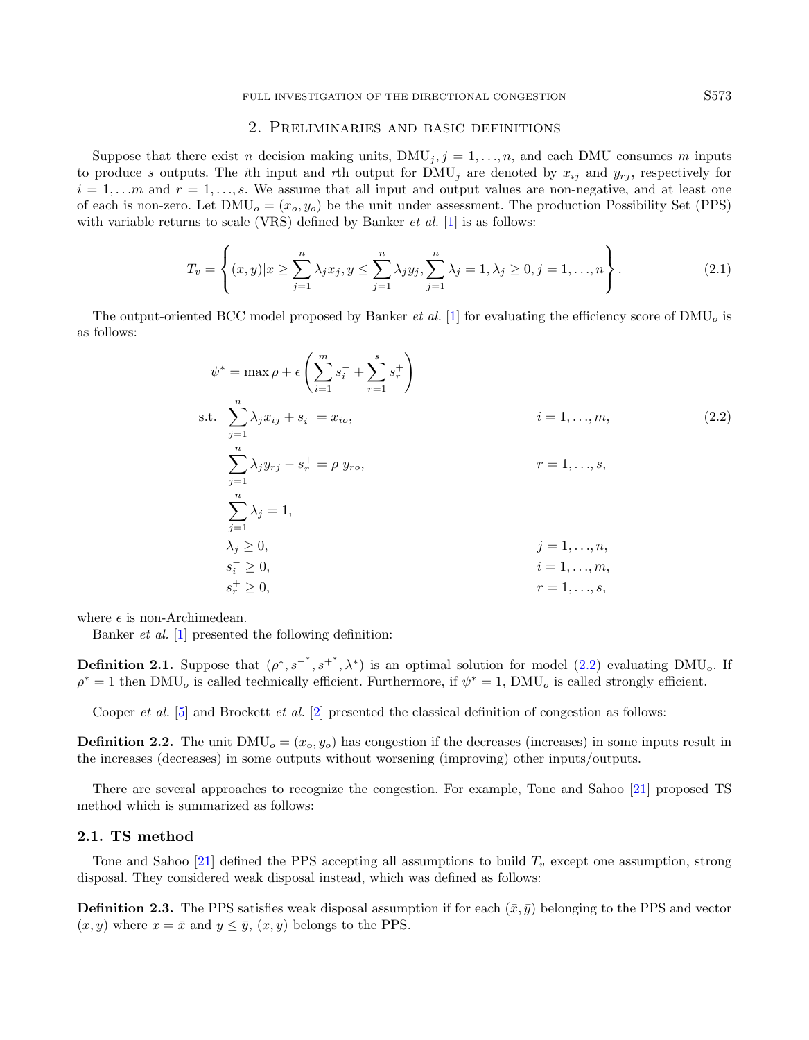# <span id="page-2-1"></span>2. Preliminaries and basic definitions

<span id="page-2-0"></span>Suppose that there exist n decision making units,  $\text{DMU}_j$ ,  $j = 1, \ldots, n$ , and each DMU consumes m inputs to produce s outputs. The ith input and rth output for  $\text{DMU}_j$  are denoted by  $x_{ij}$  and  $y_{rj}$ , respectively for  $i = 1, \ldots, m$  and  $r = 1, \ldots, s$ . We assume that all input and output values are non-negative, and at least one of each is non-zero. Let  $\text{DMU}_o = (x_o, y_o)$  be the unit under assessment. The production Possibility Set (PPS) with variable returns to scale (VRS) defined by Banker *et al.* [\[1\]](#page-19-15) is as follows:

$$
T_v = \left\{ (x, y) | x \ge \sum_{j=1}^n \lambda_j x_j, y \le \sum_{j=1}^n \lambda_j y_j, \sum_{j=1}^n \lambda_j = 1, \lambda_j \ge 0, j = 1, ..., n \right\}.
$$
 (2.1)

The output-oriented BCC model proposed by Banker *et al.* [\[1\]](#page-19-15) for evaluating the efficiency score of  $\text{DMU}_o$  is as follows:

$$
\psi^* = \max \rho + \epsilon \left( \sum_{i=1}^m s_i^- + \sum_{r=1}^s s_r^+ \right)
$$
  
s.t. 
$$
\sum_{j=1}^n \lambda_j x_{ij} + s_i^- = x_{io}, \qquad i = 1, ..., m,
$$
  

$$
\sum_{j=1}^n \lambda_j y_{rj} - s_r^+ = \rho \ y_{ro}, \qquad r = 1, ..., s,
$$
  

$$
\sum_{j=1}^n \lambda_j = 1,
$$
  

$$
\lambda_j \ge 0, \qquad j = 1, ..., n,
$$
  

$$
s_i^- \ge 0, \qquad i = 1, ..., m,
$$
  

$$
s_r^+ \ge 0, \qquad r = 1, ..., s,
$$

where  $\epsilon$  is non-Archimedean.

Banker et al. [\[1\]](#page-19-15) presented the following definition:

**Definition 2.1.** Suppose that  $(\rho^*, s^{-*}, s^{+*}, \lambda^*)$  is an optimal solution for model  $(2.2)$  evaluating DMU<sub>o</sub>. If  $\rho^* = 1$  then DMU<sub>o</sub> is called technically efficient. Furthermore, if  $\psi^* = 1$ , DMU<sub>o</sub> is called strongly efficient.

Cooper *et al.* [\[5\]](#page-19-16) and Brockett *et al.* [\[2\]](#page-19-17) presented the classical definition of congestion as follows:

**Definition 2.2.** The unit  $\text{DMU}_o = (x_o, y_o)$  has congestion if the decreases (increases) in some inputs result in the increases (decreases) in some outputs without worsening (improving) other inputs/outputs.

There are several approaches to recognize the congestion. For example, Tone and Sahoo [\[21\]](#page-20-1) proposed TS method which is summarized as follows:

## 2.1. TS method

Tone and Sahoo [\[21\]](#page-20-1) defined the PPS accepting all assumptions to build  $T_v$  except one assumption, strong disposal. They considered weak disposal instead, which was defined as follows:

**Definition 2.3.** The PPS satisfies weak disposal assumption if for each  $(\bar{x}, \bar{y})$  belonging to the PPS and vector  $(x, y)$  where  $x = \bar{x}$  and  $y \leq \bar{y}$ ,  $(x, y)$  belongs to the PPS.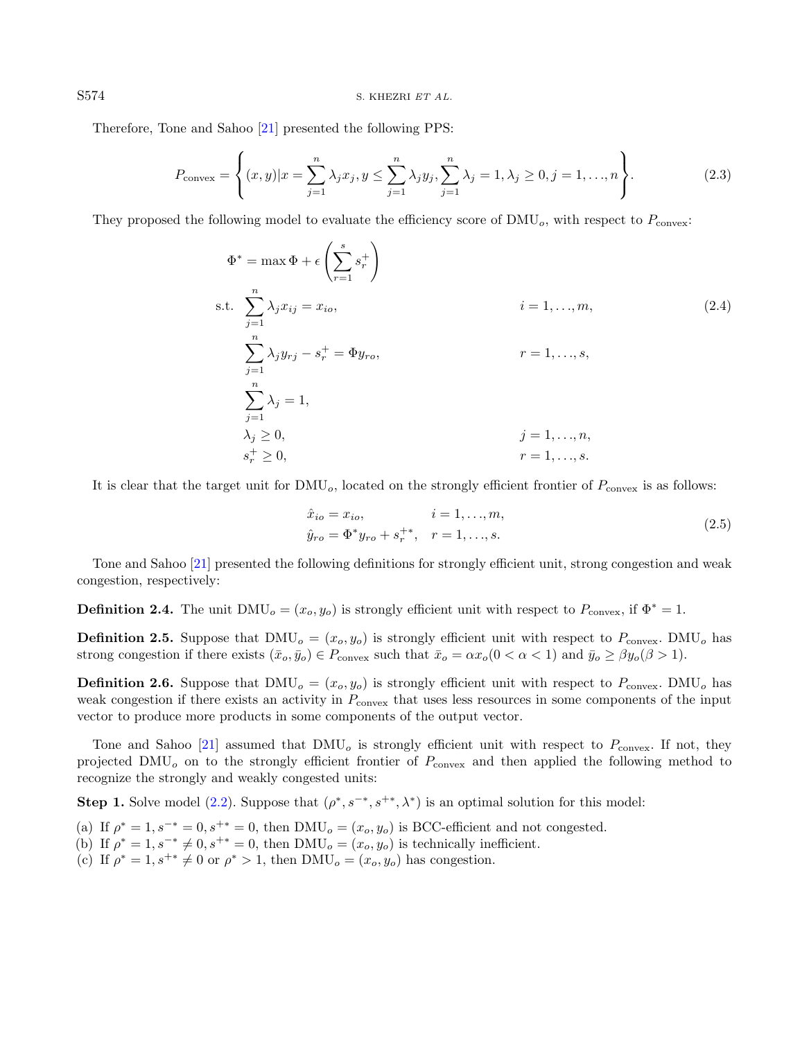Therefore, Tone and Sahoo [\[21\]](#page-20-1) presented the following PPS:

$$
P_{\text{convex}} = \left\{ (x, y) | x = \sum_{j=1}^{n} \lambda_j x_j, y \le \sum_{j=1}^{n} \lambda_j y_j, \sum_{j=1}^{n} \lambda_j = 1, \lambda_j \ge 0, j = 1, ..., n \right\}.
$$
 (2.3)

They proposed the following model to evaluate the efficiency score of  $\text{DMU}_o$ , with respect to  $P_{\text{convex}}$ :

<span id="page-3-0"></span>
$$
\Phi^* = \max \Phi + \epsilon \left( \sum_{r=1}^s s_r^+ \right)
$$
  
s.t. 
$$
\sum_{j=1}^n \lambda_j x_{ij} = x_{io}, \qquad i = 1, ..., m,
$$
  

$$
\sum_{j=1}^n \lambda_j y_{rj} - s_r^+ = \Phi y_{ro}, \qquad r = 1, ..., s,
$$
  

$$
\sum_{j=1}^n \lambda_j = 1,
$$
  

$$
\lambda_j \ge 0, \qquad j = 1, ..., n,
$$
  

$$
s_r^+ \ge 0, \qquad r = 1, ..., s.
$$
  
(2.4)

It is clear that the target unit for  $\text{DMU}_o$ , located on the strongly efficient frontier of  $P_{\text{convex}}$  is as follows:

<span id="page-3-1"></span>
$$
\hat{x}_{io} = x_{io}, \qquad i = 1, ..., m,
$$
  
\n
$$
\hat{y}_{ro} = \Phi^* y_{ro} + s_r^{+*}, \quad r = 1, ..., s.
$$
\n(2.5)

Tone and Sahoo [\[21\]](#page-20-1) presented the following definitions for strongly efficient unit, strong congestion and weak congestion, respectively:

**Definition 2.4.** The unit  $\text{DMU}_o = (x_o, y_o)$  is strongly efficient unit with respect to  $P_{\text{convex}}$ , if  $\Phi^* = 1$ .

**Definition 2.5.** Suppose that  $\text{DMU}_o = (x_o, y_o)$  is strongly efficient unit with respect to  $P_{\text{convex}}$ . DMU<sub>o</sub> has strong congestion if there exists  $(\bar{x}_o, \bar{y}_o) \in P_{\text{convex}}$  such that  $\bar{x}_o = \alpha x_o (0 < \alpha < 1)$  and  $\bar{y}_o \geq \beta y_o (\beta > 1)$ .

**Definition 2.6.** Suppose that DMU<sub>o</sub> =  $(x_o, y_o)$  is strongly efficient unit with respect to  $P_{\text{convex}}$ . DMU<sub>o</sub> has weak congestion if there exists an activity in  $P_{\text{convex}}$  that uses less resources in some components of the input vector to produce more products in some components of the output vector.

Tone and Sahoo [\[21\]](#page-20-1) assumed that  $\text{DMU}_o$  is strongly efficient unit with respect to  $P_{\text{convex}}$ . If not, they projected  $\text{DMU}_o$  on to the strongly efficient frontier of  $P_{\text{convex}}$  and then applied the following method to recognize the strongly and weakly congested units:

**Step 1.** Solve model [\(2.2\)](#page-2-1). Suppose that  $(\rho^*, s^{-*}, s^{+*}, \lambda^*)$  is an optimal solution for this model:

- (a) If  $\rho^* = 1, s^{-*} = 0, s^{+*} = 0$ , then  $\text{DMU}_o = (x_o, y_o)$  is BCC-efficient and not congested.
- (b) If  $\rho^* = 1, s^{-*} \neq 0, s^{+*} = 0$ , then DMU<sub>o</sub> =  $(x_o, y_o)$  is technically inefficient.
- (c) If  $\rho^* = 1, s^{+*} \neq 0$  or  $\rho^* > 1$ , then DMU<sub>o</sub> =  $(x_o, y_o)$  has congestion.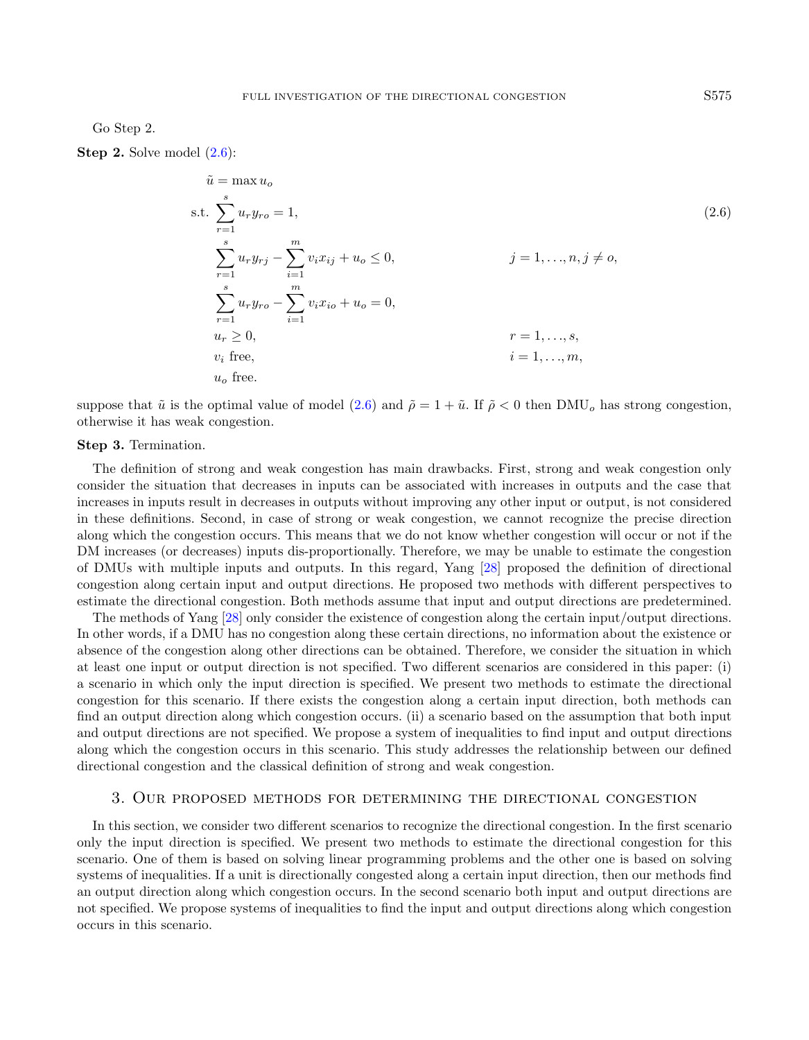Go Step 2.

Step 2. Solve model  $(2.6)$ :

<span id="page-4-1"></span> $\tilde{u} = \text{max}$ 

$$
u = \max_{r=1}^{s} u_r y_{r0} = 1,
$$
  
s.t. 
$$
\sum_{r=1}^{s} u_r y_{r0} = 1,
$$

$$
\sum_{r=1}^{s} u_r y_{rj} - \sum_{i=1}^{m} v_i x_{ij} + u_o \le 0,
$$

$$
j = 1, ..., n, j \ne 0,
$$

$$
\sum_{r=1}^{s} u_r y_{r0} - \sum_{i=1}^{m} v_i x_{io} + u_o = 0,
$$

$$
u_r \ge 0,
$$

$$
r = 1, ..., s,
$$

$$
v_i \text{ free},
$$

$$
i = 1, ..., m,
$$

$$
u_o \text{ free}.
$$

$$
(2.6)
$$

suppose that  $\tilde{u}$  is the optimal value of model [\(2.6\)](#page-4-1) and  $\tilde{\rho} = 1 + \tilde{u}$ . If  $\tilde{\rho} < 0$  then DMU<sub>o</sub> has strong congestion, otherwise it has weak congestion.

#### Step 3. Termination.

The definition of strong and weak congestion has main drawbacks. First, strong and weak congestion only consider the situation that decreases in inputs can be associated with increases in outputs and the case that increases in inputs result in decreases in outputs without improving any other input or output, is not considered in these definitions. Second, in case of strong or weak congestion, we cannot recognize the precise direction along which the congestion occurs. This means that we do not know whether congestion will occur or not if the DM increases (or decreases) inputs dis-proportionally. Therefore, we may be unable to estimate the congestion of DMUs with multiple inputs and outputs. In this regard, Yang [\[28\]](#page-20-8) proposed the definition of directional congestion along certain input and output directions. He proposed two methods with different perspectives to estimate the directional congestion. Both methods assume that input and output directions are predetermined.

The methods of Yang [\[28\]](#page-20-8) only consider the existence of congestion along the certain input/output directions. In other words, if a DMU has no congestion along these certain directions, no information about the existence or absence of the congestion along other directions can be obtained. Therefore, we consider the situation in which at least one input or output direction is not specified. Two different scenarios are considered in this paper: (i) a scenario in which only the input direction is specified. We present two methods to estimate the directional congestion for this scenario. If there exists the congestion along a certain input direction, both methods can find an output direction along which congestion occurs. (ii) a scenario based on the assumption that both input and output directions are not specified. We propose a system of inequalities to find input and output directions along which the congestion occurs in this scenario. This study addresses the relationship between our defined directional congestion and the classical definition of strong and weak congestion.

#### 3. Our proposed methods for determining the directional congestion

<span id="page-4-0"></span>In this section, we consider two different scenarios to recognize the directional congestion. In the first scenario only the input direction is specified. We present two methods to estimate the directional congestion for this scenario. One of them is based on solving linear programming problems and the other one is based on solving systems of inequalities. If a unit is directionally congested along a certain input direction, then our methods find an output direction along which congestion occurs. In the second scenario both input and output directions are not specified. We propose systems of inequalities to find the input and output directions along which congestion occurs in this scenario.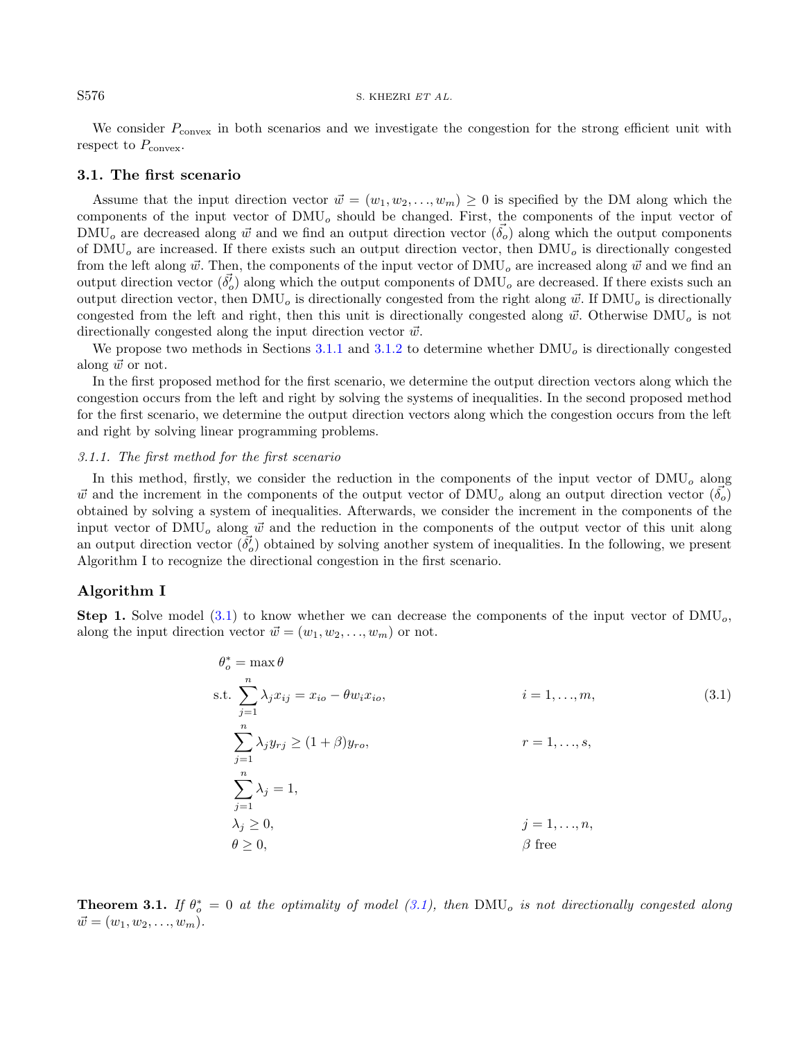We consider  $P_{\text{convex}}$  in both scenarios and we investigate the congestion for the strong efficient unit with respect to  $P_{\text{convex}}$ .

#### 3.1. The first scenario

Assume that the input direction vector  $\vec{w} = (w_1, w_2, \dots, w_m) \geq 0$  is specified by the DM along which the components of the input vector of  $\text{DMU}_o$  should be changed. First, the components of the input vector of  $\text{DMU}_o$  are decreased along  $\vec{w}$  and we find an output direction vector  $(\vec{\delta}_o)$  along which the output components of  $\text{DMU}_o$  are increased. If there exists such an output direction vector, then  $\text{DMU}_o$  is directionally congested from the left along  $\vec{w}$ . Then, the components of the input vector of DMU<sub>o</sub> are increased along  $\vec{w}$  and we find an output direction vector  $(\vec{\delta_o})$  along which the output components of DMU<sub>o</sub> are decreased. If there exists such an output direction vector, then DMU<sub>o</sub> is directionally congested from the right along  $\vec{w}$ . If DMU<sub>o</sub> is directionally congested from the left and right, then this unit is directionally congested along  $\vec{w}$ . Otherwise DMU<sub>o</sub> is not directionally congested along the input direction vector  $\vec{w}$ .

We propose two methods in Sections [3.1.1](#page-5-0) and [3.1.2](#page-7-0) to determine whether  $\text{DMU}_o$  is directionally congested along  $\vec{w}$  or not.

In the first proposed method for the first scenario, we determine the output direction vectors along which the congestion occurs from the left and right by solving the systems of inequalities. In the second proposed method for the first scenario, we determine the output direction vectors along which the congestion occurs from the left and right by solving linear programming problems.

#### <span id="page-5-0"></span>3.1.1. The first method for the first scenario

In this method, firstly, we consider the reduction in the components of the input vector of  $\text{DMU}_o$  along  $\vec{w}$  and the increment in the components of the output vector of DMU<sub>o</sub> along an output direction vector  $(\delta_o)$ obtained by solving a system of inequalities. Afterwards, we consider the increment in the components of the input vector of  $\text{DMU}_o$  along  $\vec{w}$  and the reduction in the components of the output vector of this unit along an output direction vector  $(\vec{\delta}_o)$  obtained by solving another system of inequalities. In the following, we present Algorithm I to recognize the directional congestion in the first scenario.

## Algorithm I

**Step 1.** Solve model  $(3.1)$  to know whether we can decrease the components of the input vector of DMU<sub>o</sub>, along the input direction vector  $\vec{w} = (w_1, w_2, \dots, w_m)$  or not.

<span id="page-5-1"></span>
$$
\theta_o^* = \max \theta
$$
  
s.t. 
$$
\sum_{j=1}^n \lambda_j x_{ij} = x_{io} - \theta w_i x_{io},
$$
  

$$
\sum_{j=1}^n \lambda_j y_{rj} \ge (1 + \beta) y_{ro},
$$
  

$$
\sum_{j=1}^n \lambda_j = 1,
$$
  

$$
\sum_{j=1}^n \lambda_j = 1,
$$
  

$$
\lambda_j \ge 0,
$$
  

$$
\beta
$$
 free  

$$
\beta
$$
 free

**Theorem 3.1.** If  $\theta_o^* = 0$  at the optimality of model [\(3.1\)](#page-5-1), then DMU<sub>o</sub> is not directionally congested along  $\vec{w} = (w_1, w_2, \ldots, w_m).$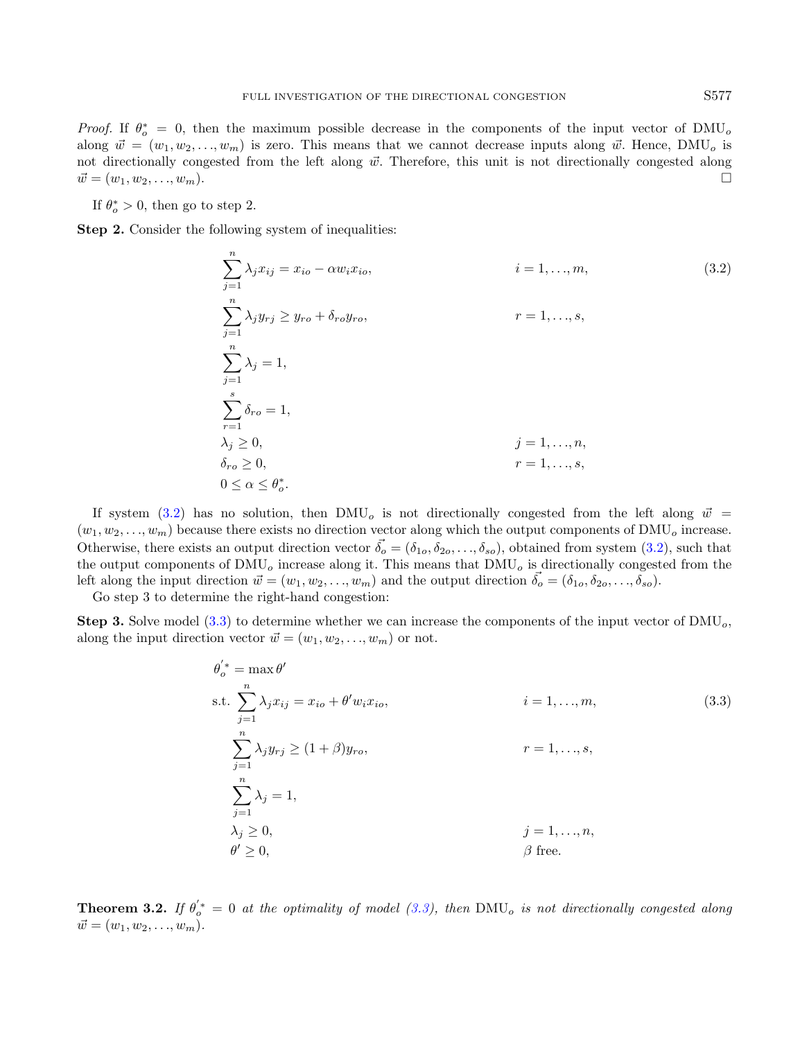*Proof.* If  $\theta_o^* = 0$ , then the maximum possible decrease in the components of the input vector of DMU<sub>o</sub> along  $\vec{w} = (w_1, w_2, \dots, w_m)$  is zero. This means that we cannot decrease inputs along  $\vec{w}$ . Hence, DMU<sub>o</sub> is not directionally congested from the left along  $\vec{w}$ . Therefore, this unit is not directionally congested along  $\vec{w} = (w_1, w_2, \ldots, w_m).$ 

If  $\theta_o^* > 0$ , then go to step 2.

Step 2. Consider the following system of inequalities:

<span id="page-6-0"></span>
$$
\sum_{j=1}^{n} \lambda_j x_{ij} = x_{io} - \alpha w_i x_{io}, \qquad i = 1, ..., m,
$$
\n
$$
\sum_{j=1}^{n} \lambda_j y_{rj} \ge y_{ro} + \delta_{ro} y_{ro}, \qquad r = 1, ..., s,
$$
\n
$$
\sum_{j=1}^{n} \lambda_j = 1,
$$
\n
$$
\sum_{r=1}^{s} \delta_{ro} = 1,
$$
\n
$$
\lambda_j \ge 0, \qquad j = 1, ..., n,
$$
\n
$$
\delta_{ro} \ge 0, \qquad r = 1, ..., s,
$$
\n
$$
0 \le \alpha \le \theta_o^*.
$$
\n(3.2)

If system [\(3.2\)](#page-6-0) has no solution, then DMU<sub>o</sub> is not directionally congested from the left along  $\vec{w}$  =  $(w_1, w_2, \ldots, w_m)$  because there exists no direction vector along which the output components of DMU<sub>o</sub> increase. Otherwise, there exists an output direction vector  $\vec{\delta}_o = (\delta_{1o}, \delta_{2o}, \ldots, \delta_{so})$ , obtained from system  $(3.2)$ , such that the output components of  $\text{DMU}_o$  increase along it. This means that  $\text{DMU}_o$  is directionally congested from the left along the input direction  $\vec{w} = (w_1, w_2, \ldots, w_m)$  and the output direction  $\vec{\delta}_o = (\delta_{1o}, \delta_{2o}, \ldots, \delta_{so}).$ 

Go step 3 to determine the right-hand congestion:

**Step 3.** Solve model [\(3.3\)](#page-6-1) to determine whether we can increase the components of the input vector of  $\text{DMU}_o$ , along the input direction vector  $\vec{w} = (w_1, w_2, \dots, w_m)$  or not.

<span id="page-6-1"></span>
$$
\theta'_{o}^* = \max \theta'
$$
  
s.t. 
$$
\sum_{j=1}^{n} \lambda_j x_{ij} = x_{io} + \theta' w_i x_{io},
$$
  

$$
\sum_{j=1}^{n} \lambda_j y_{rj} \ge (1 + \beta) y_{ro},
$$
  

$$
\sum_{j=1}^{n} \lambda_j = 1,
$$
  

$$
\lambda_j \ge 0,
$$
  

$$
\beta \text{ free.}
$$
  

$$
(3.3)
$$

**Theorem 3.2.** If  $\theta_o^* = 0$  at the optimality of model [\(3.3\)](#page-6-1), then DMU<sub>o</sub> is not directionally congested along  $\vec{w} = (w_1, w_2, \ldots, w_m).$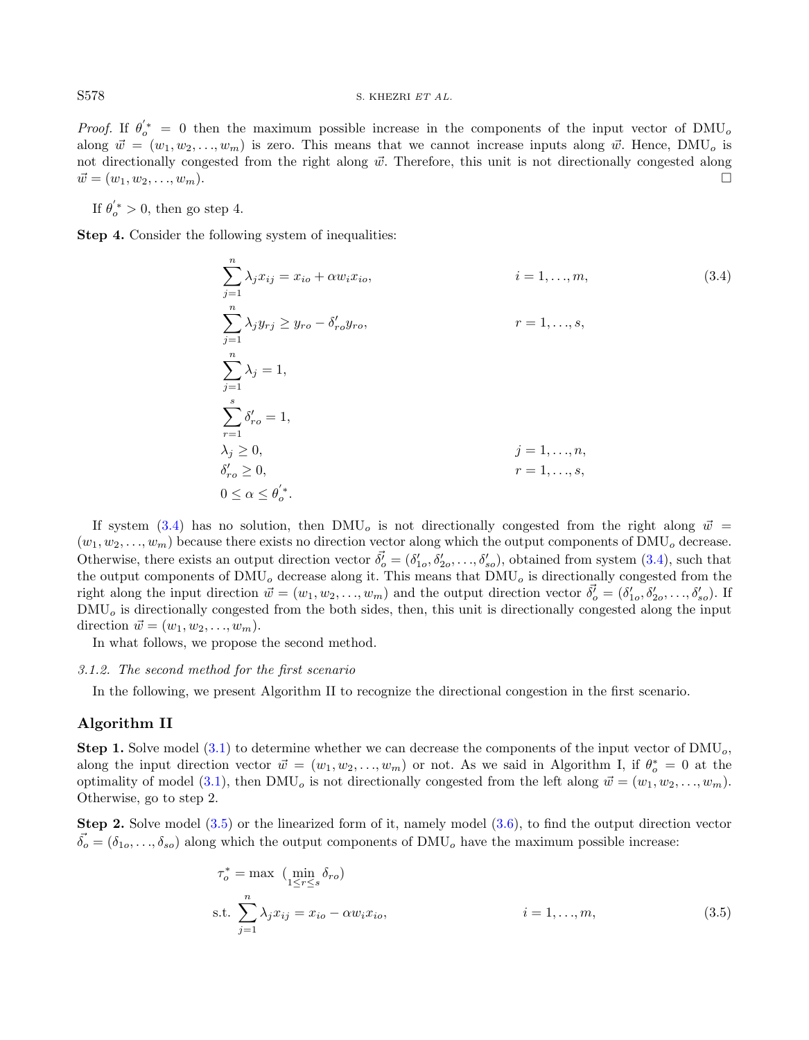*Proof.* If  $\theta_o^{'*} = 0$  then the maximum possible increase in the components of the input vector of DMU<sub>o</sub> along  $\vec{w} = (w_1, w_2, \dots, w_m)$  is zero. This means that we cannot increase inputs along  $\vec{w}$ . Hence, DMU<sub>o</sub> is not directionally congested from the right along  $\vec{w}$ . Therefore, this unit is not directionally congested along  $\vec{w} = (w_1, w_2, \ldots, w_m).$ 

If  $\theta_o^{'*} > 0$ , then go step 4.

Step 4. Consider the following system of inequalities:

<span id="page-7-1"></span>
$$
\sum_{j=1}^{n} \lambda_j x_{ij} = x_{io} + \alpha w_i x_{io}, \qquad i = 1, ..., m,
$$
\n
$$
\sum_{j=1}^{n} \lambda_j y_{rj} \ge y_{ro} - \delta'_{ro} y_{ro}, \qquad r = 1, ..., s,
$$
\n
$$
\sum_{j=1}^{n} \lambda_j = 1,
$$
\n
$$
\sum_{r=1}^{s} \delta'_{ro} = 1,
$$
\n
$$
\lambda_j \ge 0, \qquad j = 1, ..., n,
$$
\n
$$
\delta'_{ro} \ge 0, \qquad r = 1, ..., s,
$$
\n
$$
0 \le \alpha \le \theta'_{o}.
$$
\n(3.4)

If system [\(3.4\)](#page-7-1) has no solution, then DMU<sub>o</sub> is not directionally congested from the right along  $\vec{w}$  =  $(w_1, w_2, \ldots, w_m)$  because there exists no direction vector along which the output components of DMU<sub>o</sub> decrease. Otherwise, there exists an output direction vector  $\vec{\delta}_o^{\prime} = (\delta'_{1o}, \delta'_{2o}, \dots, \delta'_{so})$ , obtained from system [\(3.4\)](#page-7-1), such that the output components of  $\text{DMU}_o$  decrease along it. This means that  $\text{DMU}_o$  is directionally congested from the right along the input direction  $\vec{w} = (w_1, w_2, \dots, w_m)$  and the output direction vector  $\vec{\delta}_o^j = (\delta'_{1o}, \delta'_{2o}, \dots, \delta'_{so})$ . If  $\text{DMU}_o$  is directionally congested from the both sides, then, this unit is directionally congested along the input direction  $\vec{w} = (w_1, w_2, \ldots, w_m).$ 

In what follows, we propose the second method.

#### <span id="page-7-0"></span>3.1.2. The second method for the first scenario

In the following, we present Algorithm II to recognize the directional congestion in the first scenario.

## Algorithm II

**Step 1.** Solve model  $(3.1)$  to determine whether we can decrease the components of the input vector of  $\text{DMU}_o$ , along the input direction vector  $\vec{w} = (w_1, w_2, \dots, w_m)$  or not. As we said in Algorithm I, if  $\theta_o^* = 0$  at the optimality of model [\(3.1\)](#page-5-1), then DMU<sub>o</sub> is not directionally congested from the left along  $\vec{w} = (w_1, w_2, \dots, w_m)$ . Otherwise, go to step 2.

Step 2. Solve model [\(3.5\)](#page-7-2) or the linearized form of it, namely model [\(3.6\)](#page-8-0), to find the output direction vector  $\vec{\delta_o} = (\delta_{1o}, \ldots, \delta_{so})$  along which the output components of DMU<sub>o</sub> have the maximum possible increase:

<span id="page-7-2"></span>
$$
\tau_o^* = \max \left( \min_{1 \le r \le s} \delta_{ro} \right)
$$
  
s.t. 
$$
\sum_{j=1}^n \lambda_j x_{ij} = x_{io} - \alpha w_i x_{io}, \qquad i = 1, ..., m,
$$
 (3.5)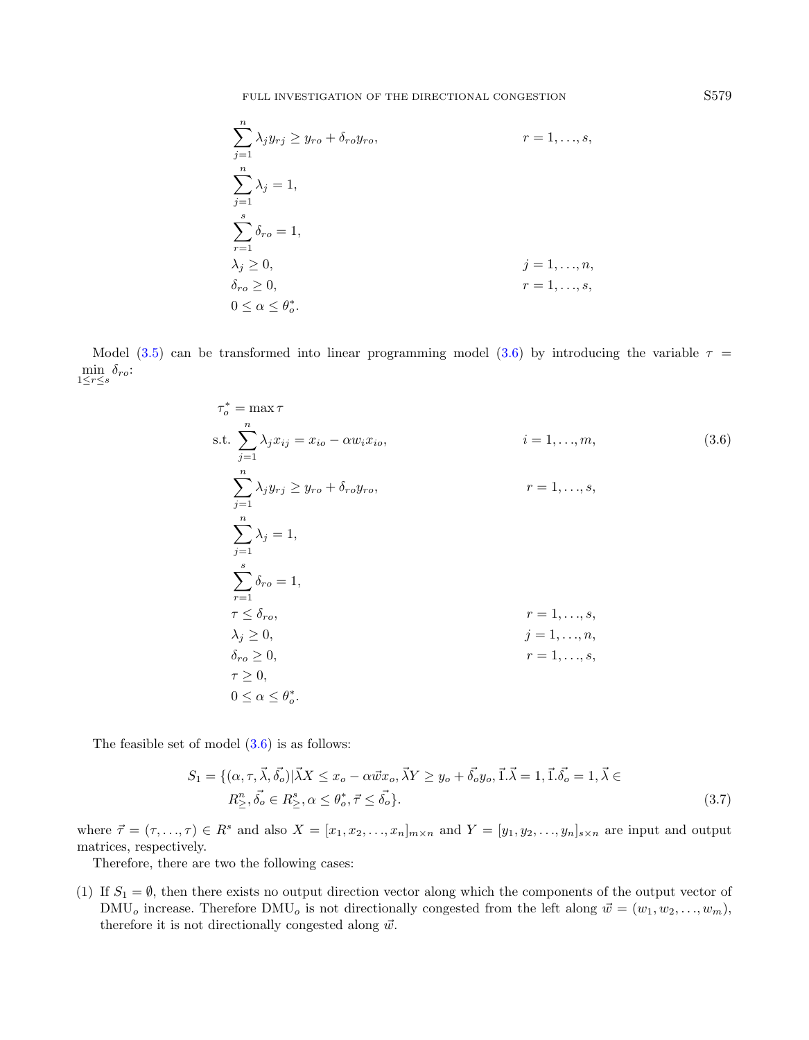FULL INVESTIGATION OF THE DIRECTIONAL CONGESTION S579

<span id="page-8-0"></span>
$$
\sum_{j=1}^{n} \lambda_j y_{rj} \ge y_{ro} + \delta_{ro} y_{ro}, \qquad r = 1, ..., s,
$$
  

$$
\sum_{j=1}^{n} \lambda_j = 1,
$$
  

$$
\sum_{r=1}^{s} \delta_{ro} = 1,
$$
  

$$
\lambda_j \ge 0, \qquad j = 1, ..., n,
$$
  

$$
\delta_{ro} \ge 0, \qquad r = 1, ..., s,
$$
  

$$
0 \le \alpha \le \theta_o^*.
$$

Model [\(3.5\)](#page-7-2) can be transformed into linear programming model [\(3.6\)](#page-8-0) by introducing the variable  $\tau =$  $\min_{1 \leq r \leq s} \delta_{ro}$ :

$$
\tau_o^* = \max \tau
$$
  
\ns.t. 
$$
\sum_{j=1}^n \lambda_j x_{ij} = x_{io} - \alpha w_i x_{io},
$$
  
\ni = 1, ..., m,  
\n
$$
\sum_{j=1}^n \lambda_j y_{rj} \ge y_{ro} + \delta_{ro} y_{ro},
$$
  
\nr = 1, ..., s,  
\n
$$
\sum_{j=1}^n \lambda_j = 1,
$$
  
\n
$$
\sum_{r=1}^s \delta_{ro} = 1,
$$
  
\n
$$
\tau \le \delta_{ro},
$$
  
\nr = 1, ..., s,  
\n
$$
\lambda_j \ge 0,
$$
  
\nj = 1, ..., n,  
\n
$$
\delta_{ro} \ge 0,
$$
  
\n
$$
\tau = 1, ..., s,
$$
  
\n
$$
\tau = 0,
$$
  
\n
$$
0 \le \alpha \le \theta_o^*.
$$
  
\n(3.6)

The feasible set of model  $(3.6)$  is as follows:

$$
S_1 = \{ (\alpha, \tau, \vec{\lambda}, \vec{\delta_o}) | \vec{\lambda} X \le x_o - \alpha \vec{w} x_o, \vec{\lambda} Y \ge y_o + \vec{\delta_o} y_o, \vec{1} . \vec{\lambda} = 1, \vec{1} . \vec{\delta_o} = 1, \vec{\lambda} \in R_{\ge}^n, \vec{\delta_o} \in R_{\ge}^s, \alpha \le \theta_o^*, \vec{\tau} \le \vec{\delta_o} \}.
$$
\n
$$
(3.7)
$$

where  $\vec{\tau} = (\tau, \ldots, \tau) \in R^s$  and also  $X = [x_1, x_2, \ldots, x_n]_{m \times n}$  and  $Y = [y_1, y_2, \ldots, y_n]_{s \times n}$  are input and output matrices, respectively.

Therefore, there are two the following cases:

(1) If  $S_1 = \emptyset$ , then there exists no output direction vector along which the components of the output vector of DMU<sub>o</sub> increase. Therefore DMU<sub>o</sub> is not directionally congested from the left along  $\vec{w} = (w_1, w_2, \ldots, w_m)$ , therefore it is not directionally congested along  $\vec{w}$ .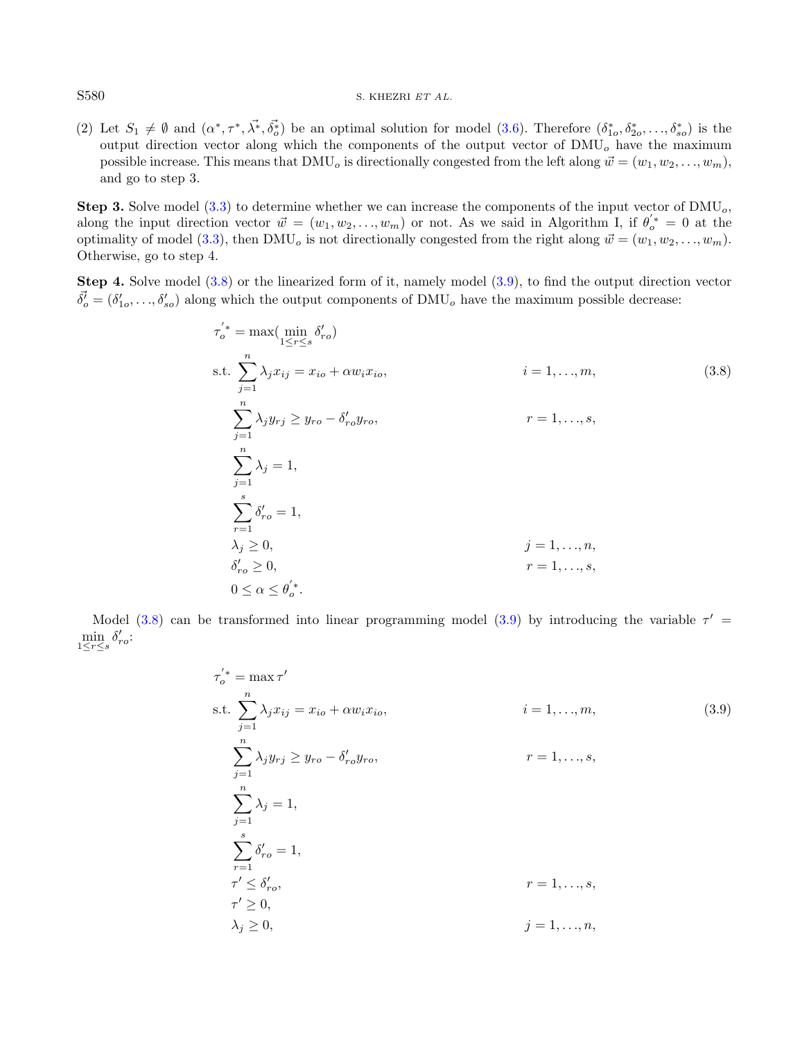## S580 S. KHEZRI ET AL.

(2) Let  $S_1 \neq \emptyset$  and  $(\alpha^*, \tau^*, \vec{\lambda^*}, \vec{\delta_o^*})$  be an optimal solution for model [\(3.6\)](#page-8-0). Therefore  $(\delta_{1o}^*, \delta_{2o}^*, \ldots, \delta_{so}^*)$  is the output direction vector along which the components of the output vector of  $\text{DMU}_o$  have the maximum possible increase. This means that DMU<sub>o</sub> is directionally congested from the left along  $\vec{w} = (w_1, w_2, \ldots, w_m)$ , and go to step 3.

**Step 3.** Solve model [\(3.3\)](#page-6-1) to determine whether we can increase the components of the input vector of  $\text{DMU}_o$ , along the input direction vector  $\vec{w} = (w_1, w_2, \dots, w_m)$  or not. As we said in Algorithm I, if  $\theta_o'^* = 0$  at the optimality of model [\(3.3\)](#page-6-1), then DMU<sub>o</sub> is not directionally congested from the right along  $\vec{w} = (w_1, w_2, \dots, w_m)$ . Otherwise, go to step 4.

Step 4. Solve model [\(3.8\)](#page-9-0) or the linearized form of it, namely model [\(3.9\)](#page-9-1), to find the output direction vector  $\vec{\delta}_o^i = (\delta'_{1o}, \ldots, \delta'_{so})$  along which the output components of DMU<sub>o</sub> have the maximum possible decrease:

<span id="page-9-0"></span>
$$
\tau_o^{'*} = \max(\min_{1 \le r \le s} \delta_{ro}')
$$
  
s.t. 
$$
\sum_{j=1}^n \lambda_j x_{ij} = x_{io} + \alpha w_i x_{io}, \qquad i = 1, ..., m,
$$
  

$$
\sum_{j=1}^n \lambda_j y_{rj} \ge y_{ro} - \delta_{ro}' y_{ro}, \qquad r = 1, ..., s,
$$
  

$$
\sum_{j=1}^n \lambda_j = 1,
$$
  

$$
\sum_{r=1}^s \delta_{ro}^r = 1,
$$
  

$$
\lambda_j \ge 0, \qquad j = 1, ..., n,
$$
  

$$
\delta_{ro}^r \ge 0, \qquad r = 1, ..., s,
$$
  

$$
0 \le \alpha \le \theta_o^{'*}.
$$
  
(3.8)

Model [\(3.8\)](#page-9-0) can be transformed into linear programming model [\(3.9\)](#page-9-1) by introducing the variable  $\tau'$  $\min_{1 \leq r \leq s} \delta'_{ro}$ :

<span id="page-9-1"></span>
$$
\tau'_{o}^* = \max \tau'
$$
  
s.t. 
$$
\sum_{j=1}^{n} \lambda_j x_{ij} = x_{io} + \alpha w_i x_{io}, \qquad i = 1, ..., m,
$$
 (3.9)  

$$
\sum_{j=1}^{n} \lambda_j y_{rj} \ge y_{ro} - \delta'_{ro} y_{ro}, \qquad r = 1, ..., s,
$$
  

$$
\sum_{j=1}^{n} \lambda_j = 1,
$$
  

$$
\sum_{r=1}^{s} \delta'_{ro} = 1,
$$
  

$$
\tau' \le \delta'_{ro}, \qquad r = 1, ..., s,
$$
  

$$
\tau' \ge 0,
$$
  

$$
\lambda_j \ge 0, \qquad j = 1, ..., n,
$$
 (3.9)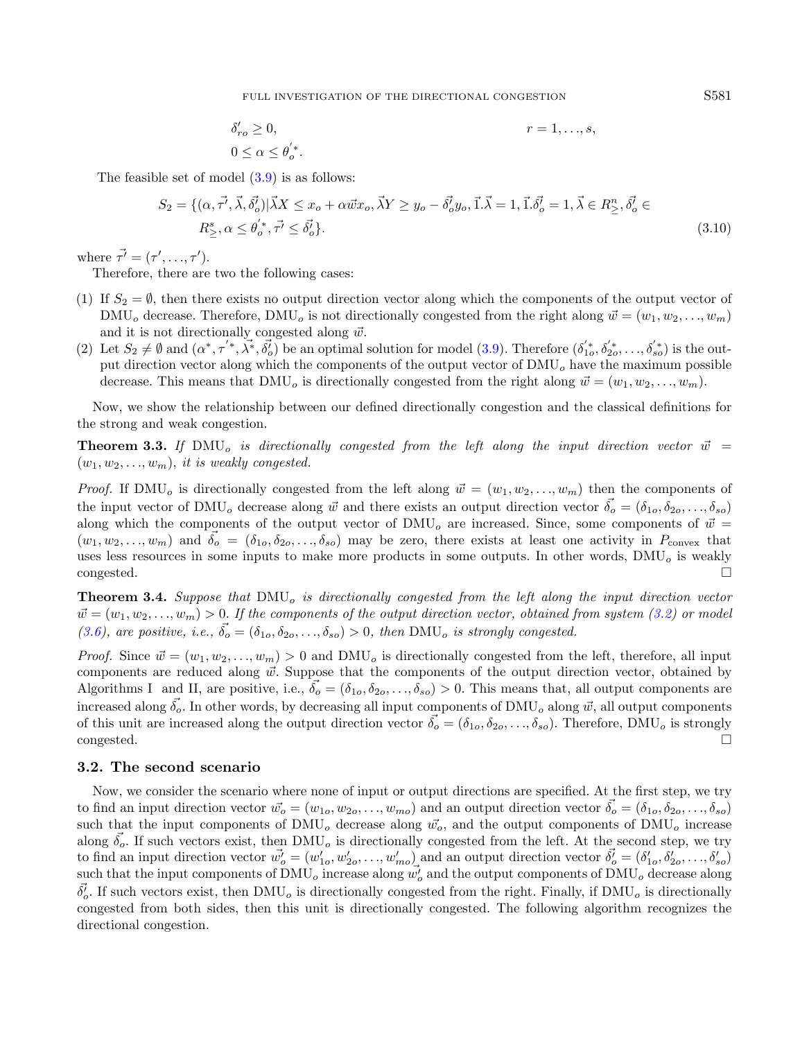FULL INVESTIGATION OF THE DIRECTIONAL CONGESTION S581

<span id="page-10-1"></span>
$$
\delta'_{ro} \ge 0, \qquad \qquad r = 1, \dots, s,
$$
  

$$
0 \le \alpha \le \theta'_{o}.
$$

The feasible set of model  $(3.9)$  is as follows:

$$
S_2 = \{ (\alpha, \vec{\tau'}, \vec{\lambda}, \vec{\delta_o'}) | \vec{\lambda} X \le x_o + \alpha \vec{w} x_o, \vec{\lambda} Y \ge y_o - \vec{\delta_o'} y_o, \vec{1} . \vec{\lambda} = 1, \vec{1} . \vec{\delta_o'} = 1, \vec{\lambda} \in R_{\ge}^n, \vec{\delta_o'} \in R_{\ge}^s, \alpha \le \theta_o'', \vec{\tau'} \le \vec{\delta_o'} \}.
$$
\n
$$
(3.10)
$$

where  $\vec{\tau'} = (\tau', \ldots, \tau').$ 

Therefore, there are two the following cases:

- (1) If  $S_2 = \emptyset$ , then there exists no output direction vector along which the components of the output vector of  $\text{DMU}_o$  decrease. Therefore,  $\text{DMU}_o$  is not directionally congested from the right along  $\vec{w} = (w_1, w_2, \dots, w_m)$ and it is not directionally congested along  $\vec{w}$ .
- (2) Let  $S_2 \neq \emptyset$  and  $(\alpha^*, \tau^{'*,} \lambda^*, \delta_o^{'})$  be an optimal solution for model [\(3.9\)](#page-9-1). Therefore  $(\delta_{1o}^{'*, \delta_{2o}^{'*, \ldots, \delta_{so}^{'*,}})$  is the output direction vector along which the components of the output vector of  $\text{DMU}_o$  have the maximum possible decrease. This means that  $\text{DMU}_o$  is directionally congested from the right along  $\vec{w} = (w_1, w_2, \dots, w_m)$ .

Now, we show the relationship between our defined directionally congestion and the classical definitions for the strong and weak congestion.

**Theorem 3.3.** If DMU<sub>o</sub> is directionally congested from the left along the input direction vector  $\vec{w}$  =  $(w_1, w_2, \ldots, w_m)$ , it is weakly congested.

*Proof.* If DMU<sub>o</sub> is directionally congested from the left along  $\vec{w} = (w_1, w_2, \dots, w_m)$  then the components of the input vector of DMU<sub>o</sub> decrease along  $\vec{w}$  and there exists an output direction vector  $\vec{\delta_o} = (\delta_{1o}, \delta_{2o}, \ldots, \delta_{so})$ along which the components of the output vector of  $\text{DMU}_o$  are increased. Since, some components of  $\vec{w}$  =  $(w_1, w_2, \ldots, w_m)$  and  $\delta_o = (\delta_{1o}, \delta_{2o}, \ldots, \delta_{so})$  may be zero, there exists at least one activity in  $P_{\text{convex}}$  that uses less resources in some inputs to make more products in some outputs. In other words,  $\text{DMU}_o$  is weakly congested.

<span id="page-10-0"></span>**Theorem 3.4.** Suppose that  $\text{DMU}_o$  is directionally congested from the left along the input direction vector  $\vec{w} = (w_1, w_2, \ldots, w_m) > 0$ . If the components of the output direction vector, obtained from system [\(3.2\)](#page-6-0) or model [\(3.6\)](#page-8-0), are positive, i.e.,  $\vec{\delta}_o = (\delta_{1o}, \delta_{2o}, \ldots, \delta_{so}) > 0$ , then DMU<sub>o</sub> is strongly congested.

*Proof.* Since  $\vec{w} = (w_1, w_2, \dots, w_m) > 0$  and DMU<sub>o</sub> is directionally congested from the left, therefore, all input components are reduced along  $\vec{w}$ . Suppose that the components of the output direction vector, obtained by Algorithms I and II, are positive, i.e.,  $\vec{\delta}_o = (\delta_{1o}, \delta_{2o}, \dots, \delta_{so}) > 0$ . This means that, all output components are increased along  $\vec{\delta_o}$ . In other words, by decreasing all input components of DMU<sub>o</sub> along  $\vec{w}$ , all output components of this unit are increased along the output direction vector  $\vec{\delta}_o = (\delta_{1o}, \delta_{2o}, \ldots, \delta_{so})$ . Therefore, DMU<sub>o</sub> is strongly congested.

## 3.2. The second scenario

Now, we consider the scenario where none of input or output directions are specified. At the first step, we try to find an input direction vector  $\vec{w}_o = (w_{1o}, w_{2o}, \ldots, w_{mo})$  and an output direction vector  $\vec{\delta}_o = (\delta_{1o}, \delta_{2o}, \ldots, \delta_{so})$ such that the input components of  $\text{DMU}_o$  decrease along  $\vec{w}_o$ , and the output components of  $\text{DMU}_o$  increase along  $\delta_o$ . If such vectors exist, then DMU<sub>o</sub> is directionally congested from the left. At the second step, we try to find an input direction vector  $\vec{w_0'} = (w'_{1o}, w'_{2o}, \dots, w'_{mo})$  and an output direction vector  $\vec{\delta_0'} = (\delta'_{1o}, \delta'_{2o}, \dots, \delta'_{so})$ such that the input components of  $\text{DMU}_o$  increase along  $w'_o$  and the output components of  $\text{DMU}_o$  decrease along  $\vec{\delta}_o'$ . If such vectors exist, then DMU<sub>o</sub> is directionally congested from the right. Finally, if DMU<sub>o</sub> is directionally congested from both sides, then this unit is directionally congested. The following algorithm recognizes the directional congestion.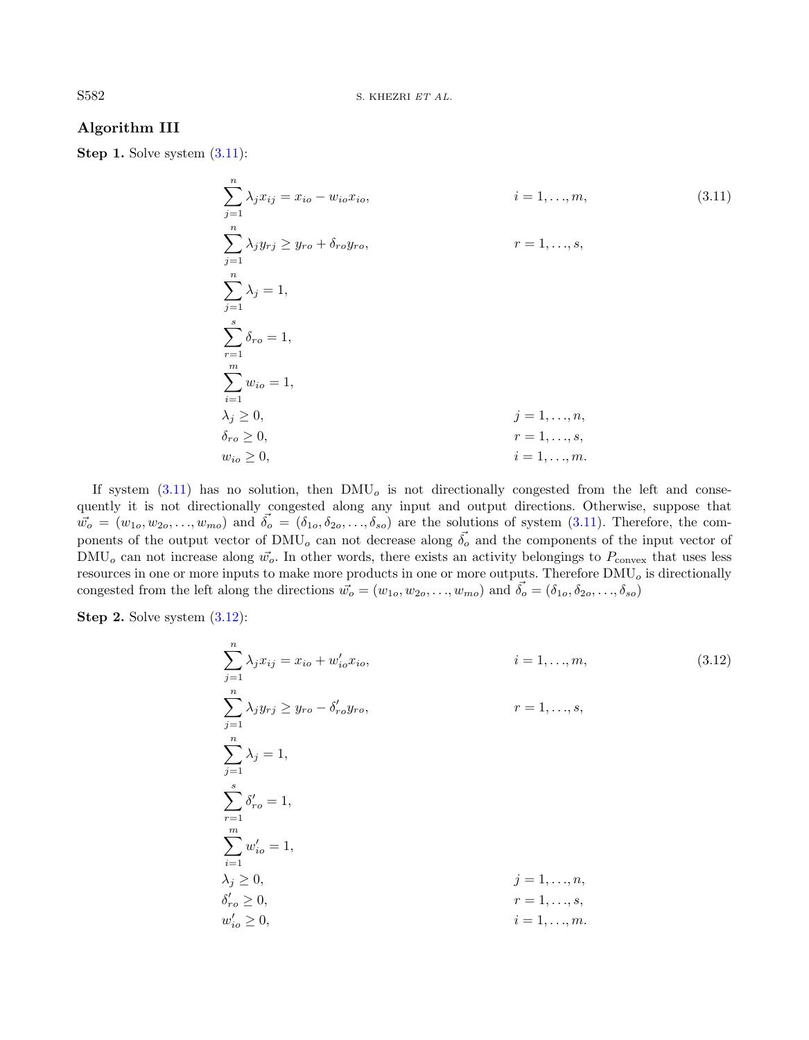# Algorithm III

Step 1. Solve system  $(3.11)$ :

<span id="page-11-0"></span>
$$
\sum_{j=1}^{n} \lambda_j x_{ij} = x_{io} - w_{io} x_{io}, \qquad i = 1, ..., m,
$$
\n
$$
\sum_{j=1}^{n} \lambda_j y_{rj} \ge y_{ro} + \delta_{ro} y_{ro}, \qquad r = 1, ..., s,
$$
\n
$$
\sum_{r=1}^{n} \lambda_j = 1,
$$
\n
$$
\sum_{i=1}^{s} \delta_{ro} = 1,
$$
\n
$$
\sum_{i=1}^{m} w_{io} = 1,
$$
\n
$$
\lambda_j \ge 0, \qquad j = 1, ..., n,
$$
\n
$$
\delta_{ro} \ge 0, \qquad r = 1, ..., s,
$$
\n
$$
w_{io} \ge 0, \qquad i = 1, ..., m.
$$
\n(3.11)

If system  $(3.11)$  has no solution, then DMU<sub>o</sub> is not directionally congested from the left and consequently it is not directionally congested along any input and output directions. Otherwise, suppose that  $\vec{w}_o = (w_{1o}, w_{2o}, \ldots, w_{mo})$  and  $\vec{\delta}_o = (\delta_{1o}, \delta_{2o}, \ldots, \delta_{so})$  are the solutions of system  $(3.11)$ . Therefore, the components of the output vector of  $\text{DMU}_o$  can not decrease along  $\vec{\delta_o}$  and the components of the input vector of  $\text{DMU}_o$  can not increase along  $\vec{w}_o$ . In other words, there exists an activity belongings to  $P_{\text{convex}}$  that uses less resources in one or more inputs to make more products in one or more outputs. Therefore  $\text{DMU}_o$  is directionally congested from the left along the directions  $\vec{w}_o = (w_{1o}, w_{2o}, \ldots, w_{mo})$  and  $\vec{\delta}_o = (\delta_{1o}, \delta_{2o}, \ldots, \delta_{so})$ 

Step 2. Solve system  $(3.12)$ :

<span id="page-11-1"></span>
$$
\sum_{j=1}^{n} \lambda_j x_{ij} = x_{io} + w'_{io} x_{io},
$$
\n
$$
i = 1, ..., m,
$$
\n
$$
\sum_{j=1}^{n} \lambda_j y_{rj} \ge y_{ro} - \delta'_{ro} y_{ro},
$$
\n
$$
r = 1, ..., s,
$$
\n
$$
\sum_{j=1}^{n} \lambda_j = 1,
$$
\n
$$
\sum_{i=1}^{s} \delta'_{ro} = 1,
$$
\n
$$
\sum_{i=1}^{m} w'_{io} = 1,
$$
\n
$$
\lambda_j \ge 0,
$$
\n
$$
j = 1, ..., n,
$$
\n
$$
\delta'_{ro} \ge 0,
$$
\n
$$
i = 1, ..., s,
$$
\n
$$
w'_{io} \ge 0,
$$
\n
$$
i = 1, ..., m.
$$
\n(3.12)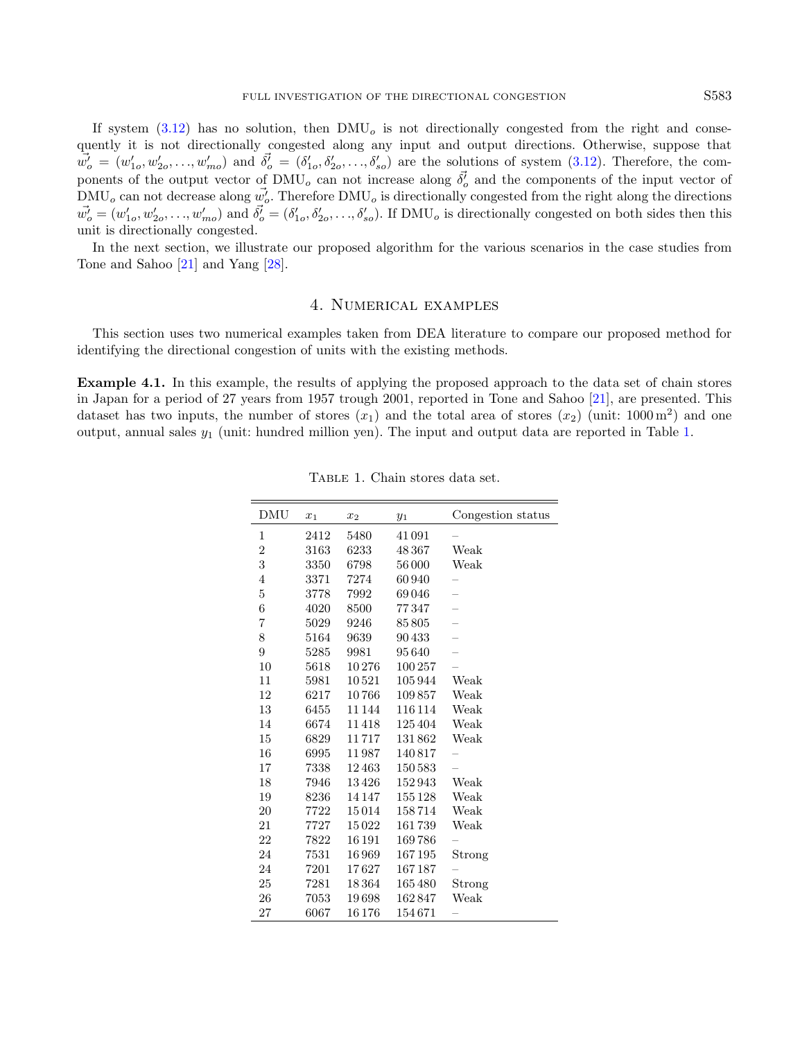If system  $(3.12)$  has no solution, then  $DMU<sub>o</sub>$  is not directionally congested from the right and consequently it is not directionally congested along any input and output directions. Otherwise, suppose that  $\vec{w}'_o = (w'_{1o}, w'_{2o}, \ldots, w'_{mo})$  and  $\vec{\delta}'_o = (\delta'_{1o}, \delta'_{2o}, \ldots, \delta'_{so})$  are the solutions of system  $(3.12)$ . Therefore, the components of the output vector of  $\text{DMU}_o$  can not increase along  $\vec{\delta}_o^j$  and the components of the input vector of  $\text{DMU}_o$  can not decrease along  $\vec{w_o'}$ . Therefore  $\text{DMU}_o$  is directionally congested from the right along the directions  $\vec{w}_o = (w'_{1o}, w'_{2o}, \dots, w'_{mo})$  and  $\vec{\delta}_o = (\delta'_{1o}, \delta'_{2o}, \dots, \delta'_{so})$ . If DMU<sub>o</sub> is directionally congested on both sides then this unit is directionally congested.

In the next section, we illustrate our proposed algorithm for the various scenarios in the case studies from Tone and Sahoo [\[21\]](#page-20-1) and Yang [\[28\]](#page-20-8).

# <span id="page-12-1"></span>4. Numerical examples

<span id="page-12-0"></span>This section uses two numerical examples taken from DEA literature to compare our proposed method for identifying the directional congestion of units with the existing methods.

Example 4.1. In this example, the results of applying the proposed approach to the data set of chain stores in Japan for a period of 27 years from 1957 trough 2001, reported in Tone and Sahoo [\[21\]](#page-20-1), are presented. This dataset has two inputs, the number of stores  $(x_1)$  and the total area of stores  $(x_2)$  (unit: 1000 m<sup>2</sup>) and one output, annual sales  $y_1$  (unit: hundred million yen). The input and output data are reported in Table [1.](#page-12-1)

| DMU            | $x_1$ | $x_2$  | $y_1$   | Congestion status        |
|----------------|-------|--------|---------|--------------------------|
| 1              | 2412  | 5480   | 41091   |                          |
| 2              | 3163  | 6233   | 48367   | Weak                     |
| 3              | 3350  | 6798   | 56000   | Weak                     |
| 4              | 3371  | 7274   | 60940   |                          |
| $\overline{5}$ | 3778  | 7992   | 69046   |                          |
| 6              | 4020  | 8500   | 77347   | $\overline{\phantom{0}}$ |
| 7              | 5029  | 9246   | 85805   | $\overline{\phantom{0}}$ |
| 8              | 5164  | 9639   | 90433   | $\overline{\phantom{0}}$ |
| 9              | 5285  | 9981   | 95640   | $\overline{\phantom{0}}$ |
| 10             | 5618  | 10276  | 100257  |                          |
| 11             | 5981  | 10521  | 105944  | Weak                     |
| 12             | 6217  | 10766  | 109857  | Weak                     |
| 13             | 6455  | 11 144 | 116 114 | Weak                     |
| 14             | 6674  | 11418  | 125404  | Weak                     |
| 15             | 6829  | 11717  | 131862  | Weak                     |
| 16             | 6995  | 11987  | 140817  |                          |
| 17             | 7338  | 12463  | 150583  |                          |
| 18             | 7946  | 13426  | 152943  | Weak                     |
| 19             | 8236  | 14147  | 155128  | Weak                     |
| 20             | 7722  | 15014  | 158714  | Weak                     |
| 21             | 7727  | 15022  | 161739  | Weak                     |
| 22             | 7822  | 16 191 | 169786  |                          |
| 24             | 7531  | 16969  | 167195  | Strong                   |
| 24             | 7201  | 17627  | 167187  |                          |
| 25             | 7281  | 18364  | 165480  | Strong                   |
| 26             | 7053  | 19698  | 162847  | Weak                     |
| 27             | 6067  | 16176  | 154671  |                          |

Table 1. Chain stores data set.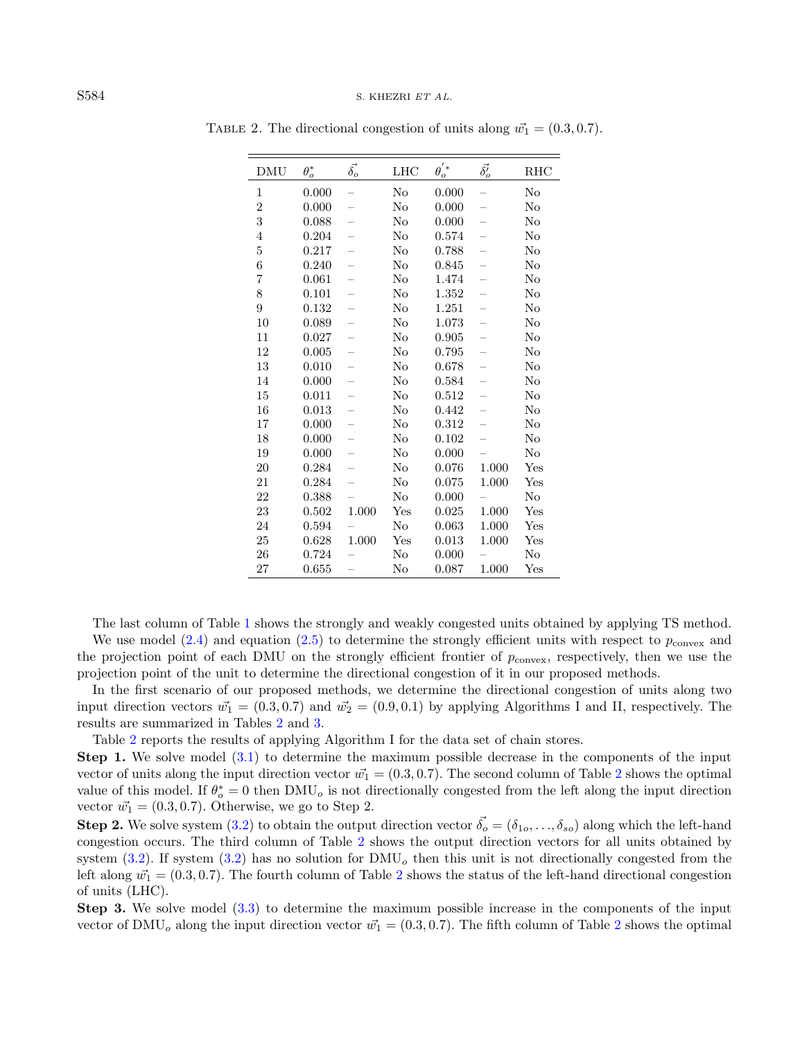| <b>DMU</b>       | $\theta_o^*$ | $\vec{\delta_o}$         | LHC      | $\theta_o^{'*}$ | $\vec{\delta_o'}$        | RHC      |
|------------------|--------------|--------------------------|----------|-----------------|--------------------------|----------|
| 1                | 0.000        |                          | $\rm No$ | 0.000           |                          | $\rm No$ |
| $\boldsymbol{2}$ | 0.000        |                          | No       | 0.000           |                          | No       |
| 3                | 0.088        |                          | $\rm No$ | 0.000           | $\overline{\phantom{0}}$ | No       |
| $\overline{4}$   | 0.204        |                          | No       | 0.574           |                          | No       |
| $\bf 5$          | 0.217        |                          | No       | 0.788           |                          | No       |
| $\,6$            | 0.240        |                          | No       | 0.845           |                          | No       |
| 7                | 0.061        | —                        | No       | 1.474           | $\overline{\phantom{0}}$ | No       |
| 8                | 0.101        |                          | No       | 1.352           |                          | No       |
| 9                | 0.132        | -                        | No       | 1.251           | —                        | No       |
| 10               | 0.089        | -                        | $\rm No$ | 1.073           | $\overline{\phantom{0}}$ | No       |
| 11               | 0.027        | $\overline{\phantom{0}}$ | No       | 0.905           | $\overline{\phantom{0}}$ | $\rm No$ |
| 12               | 0.005        |                          | No       | 0.795           |                          | No       |
| 13               | 0.010        |                          | $\rm No$ | 0.678           |                          | $\rm No$ |
| 14               | 0.000        |                          | No       | 0.584           | $\overline{\phantom{0}}$ | No       |
| 15               | 0.011        |                          | $\rm No$ | 0.512           |                          | $\rm No$ |
| 16               | 0.013        | -                        | No       | 0.442           | -                        | No       |
| $17\,$           | 0.000        |                          | $\rm No$ | 0.312           |                          | $\rm No$ |
| 18               | 0.000        |                          | No       | 0.102           |                          | $\rm No$ |
| 19               | 0.000        |                          | $\rm No$ | 0.000           |                          | No       |
| 20               | 0.284        |                          | $\rm No$ | 0.076           | 1.000                    | Yes      |
| 21               | 0.284        |                          | No       | 0.075           | 1.000                    | Yes      |
| 22               | 0.388        |                          | No       | 0.000           |                          | $\rm No$ |
| 23               | 0.502        | 1.000                    | Yes      | 0.025           | 1.000                    | Yes      |
| 24               | 0.594        |                          | $\rm No$ | 0.063           | 1.000                    | Yes      |
| 25               | 0.628        | 1.000                    | Yes      | 0.013           | 1.000                    | Yes      |
| 26               | 0.724        |                          | No       | 0.000           |                          | $\rm No$ |
| 27               | 0.655        |                          | No       | 0.087           | 1.000                    | Yes      |

<span id="page-13-0"></span>TABLE 2. The directional congestion of units along  $\vec{w_1} = (0.3, 0.7)$ .

The last column of Table [1](#page-12-1) shows the strongly and weakly congested units obtained by applying TS method. We use model [\(2.4\)](#page-3-0) and equation [\(2.5\)](#page-3-1) to determine the strongly efficient units with respect to  $p_{\text{convex}}$  and the projection point of each DMU on the strongly efficient frontier of  $p_{\text{convex}}$ , respectively, then we use the projection point of the unit to determine the directional congestion of it in our proposed methods.

In the first scenario of our proposed methods, we determine the directional congestion of units along two input direction vectors  $\vec{w_1} = (0.3, 0.7)$  and  $\vec{w_2} = (0.9, 0.1)$  by applying Algorithms I and II, respectively. The results are summarized in Tables [2](#page-13-0) and [3.](#page-14-0)

Table [2](#page-13-0) reports the results of applying Algorithm I for the data set of chain stores.

Step 1. We solve model [\(3.1\)](#page-5-1) to determine the maximum possible decrease in the components of the input vector of units along the input direction vector  $\vec{w_1} = (0.3, 0.7)$ . The second column of Table [2](#page-13-0) shows the optimal value of this model. If  $\theta_o^* = 0$  then DMU<sub>o</sub> is not directionally congested from the left along the input direction vector  $\vec{w_1} = (0.3, 0.7)$ . Otherwise, we go to Step 2.

**Step 2.** We solve system [\(3.2\)](#page-6-0) to obtain the output direction vector  $\vec{\delta}_o = (\delta_{1o}, \ldots, \delta_{so})$  along which the left-hand congestion occurs. The third column of Table [2](#page-13-0) shows the output direction vectors for all units obtained by system  $(3.2)$ . If system  $(3.2)$  has no solution for DMU<sub>o</sub> then this unit is not directionally congested from the left along  $\vec{w_1} = (0.3, 0.7)$ . The fourth column of Table [2](#page-13-0) shows the status of the left-hand directional congestion of units (LHC).

Step 3. We solve model [\(3.3\)](#page-6-1) to determine the maximum possible increase in the components of the input vector of DMU<sub>o</sub> along the input direction vector  $\vec{w_1} = (0.3, 0.7)$ . The fifth column of Table [2](#page-13-0) shows the optimal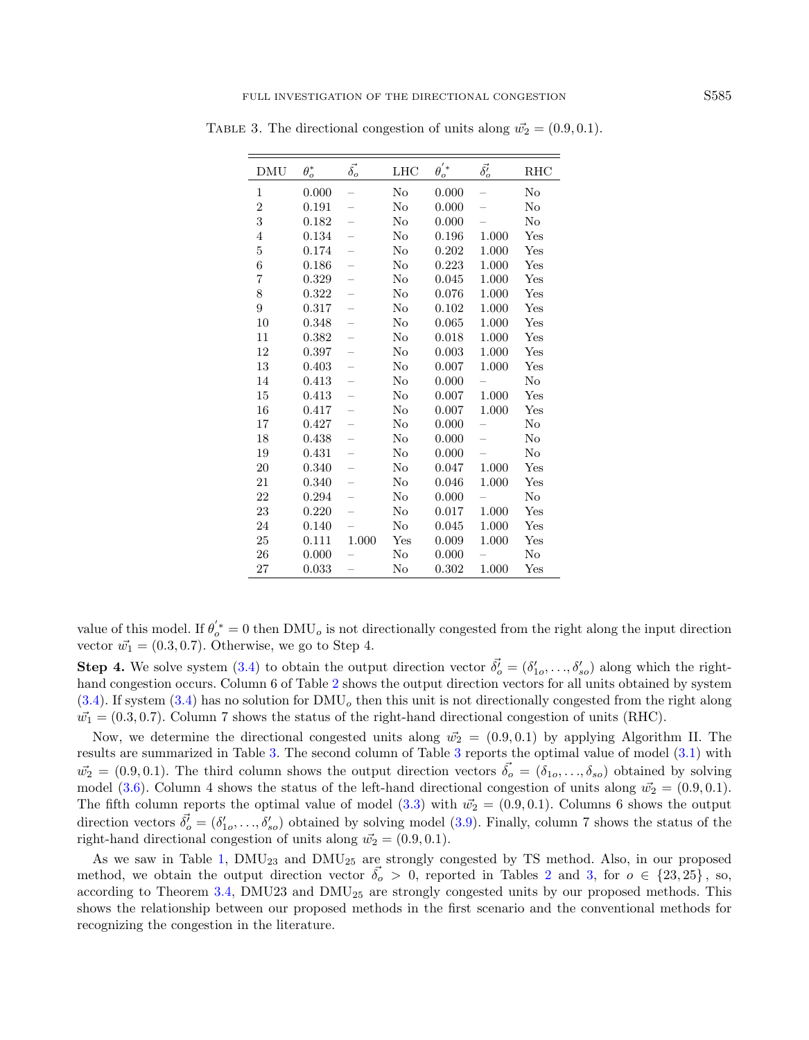| DMU            | $\theta_o^*$ | $\vec{\delta_o}$         | LHC      | $\theta_o^{'*}$ | $\vec{\delta_o'}$ | RHC      |
|----------------|--------------|--------------------------|----------|-----------------|-------------------|----------|
| 1              | 0.000        |                          | No       | 0.000           |                   | No       |
| $\overline{2}$ | 0.191        |                          | No       | 0.000           |                   | $\rm No$ |
| 3              | 0.182        |                          | $\rm No$ | 0.000           |                   | No       |
| $\overline{4}$ | 0.134        |                          | No       | 0.196           | 1.000             | Yes      |
| $\overline{5}$ | 0.174        | $\overline{\phantom{0}}$ | No       | 0.202           | 1.000             | Yes      |
| 6              | 0.186        | $\overline{\phantom{0}}$ | No       | 0.223           | 1.000             | Yes      |
| 7              | 0.329        | $\overline{\phantom{0}}$ | $\rm No$ | 0.045           | 1.000             | Yes      |
| 8              | 0.322        | -                        | $\rm No$ | 0.076           | 1.000             | Yes      |
| 9              | 0.317        | $\equiv$                 | $\rm No$ | 0.102           | 1.000             | Yes      |
| 10             | 0.348        | -                        | No       | 0.065           | 1.000             | Yes      |
| 11             | 0.382        |                          | $\rm No$ | 0.018           | 1.000             | Yes      |
| 12             | 0.397        | -                        | No       | 0.003           | 1.000             | Yes      |
| 13             | 0.403        | -                        | No       | 0.007           | 1.000             | Yes      |
| 14             | 0.413        | $\overline{\phantom{0}}$ | No       | 0.000           |                   | No       |
| 15             | 0.413        |                          | $\rm No$ | 0.007           | 1.000             | Yes      |
| 16             | 0.417        | $\overline{\phantom{0}}$ | No       | 0.007           | 1.000             | Yes      |
| 17             | 0.427        | $\overline{\phantom{0}}$ | $\rm No$ | 0.000           |                   | $\rm No$ |
| 18             | 0.438        | $\equiv$                 | No       | 0.000           | $\equiv$          | No       |
| 19             | 0.431        | $\overline{\phantom{0}}$ | $\rm No$ | 0.000           |                   | No       |
| 20             | 0.340        |                          | No       | 0.047           | 1.000             | Yes      |
| 21             | 0.340        | $\overline{\phantom{0}}$ | No       | 0.046           | 1.000             | Yes      |
| 22             | 0.294        |                          | No       | 0.000           |                   | No       |
| 23             | 0.220        | $\overline{\phantom{0}}$ | No       | 0.017           | 1.000             | Yes      |
| 24             | 0.140        |                          | No       | 0.045           | 1.000             | Yes      |
| 25             | 0.111        | 1.000                    | Yes      | 0.009           | 1.000             | Yes      |
| 26             | 0.000        |                          | No       | 0.000           |                   | $\rm No$ |
| 27             | 0.033        |                          | No       | 0.302           | 1.000             | Yes      |

<span id="page-14-0"></span>TABLE 3. The directional congestion of units along  $\vec{w_2} = (0.9, 0.1)$ .

value of this model. If  $\theta'_{o}^* = 0$  then  $\text{DMU}_o$  is not directionally congested from the right along the input direction vector  $\vec{w_1} = (0.3, 0.7)$ . Otherwise, we go to Step 4.

**Step 4.** We solve system [\(3.4\)](#page-7-1) to obtain the output direction vector  $\vec{\delta}_o^j = (\delta'_{1o}, \ldots, \delta'_{so})$  along which the right-hand congestion occurs. Column 6 of Table [2](#page-13-0) shows the output direction vectors for all units obtained by system  $(3.4)$ . If system  $(3.4)$  has no solution for DMU<sub>o</sub> then this unit is not directionally congested from the right along  $\vec{w_1} = (0.3, 0.7)$ . Column 7 shows the status of the right-hand directional congestion of units (RHC).

Now, we determine the directional congested units along  $\vec{w_2} = (0.9, 0.1)$  by applying Algorithm II. The results are summarized in Table [3.](#page-14-0) The second column of Table [3](#page-14-0) reports the optimal value of model [\(3.1\)](#page-5-1) with  $\vec{w_2} = (0.9, 0.1)$ . The third column shows the output direction vectors  $\vec{\delta_0} = (\delta_{1o}, \ldots, \delta_{so})$  obtained by solving model [\(3.6\)](#page-8-0). Column 4 shows the status of the left-hand directional congestion of units along  $\vec{w_2} = (0.9, 0.1)$ . The fifth column reports the optimal value of model [\(3.3\)](#page-6-1) with  $\vec{w_2} = (0.9, 0.1)$ . Columns 6 shows the output direction vectors  $\vec{\delta}_o = (\delta'_{1o}, \ldots, \delta'_{so})$  obtained by solving model [\(3.9\)](#page-9-1). Finally, column 7 shows the status of the right-hand directional congestion of units along  $\vec{w_2} = (0.9, 0.1)$ .

As we saw in Table [1,](#page-12-1) DMU<sup>23</sup> and DMU<sup>25</sup> are strongly congested by TS method. Also, in our proposed method, we obtain the output direction vector  $\delta_o > 0$ , reported in Tables [2](#page-13-0) and [3,](#page-14-0) for  $o \in \{23,25\}$ , so, according to Theorem [3.4,](#page-10-0) DMU23 and  $\text{DMU}_{25}$  are strongly congested units by our proposed methods. This shows the relationship between our proposed methods in the first scenario and the conventional methods for recognizing the congestion in the literature.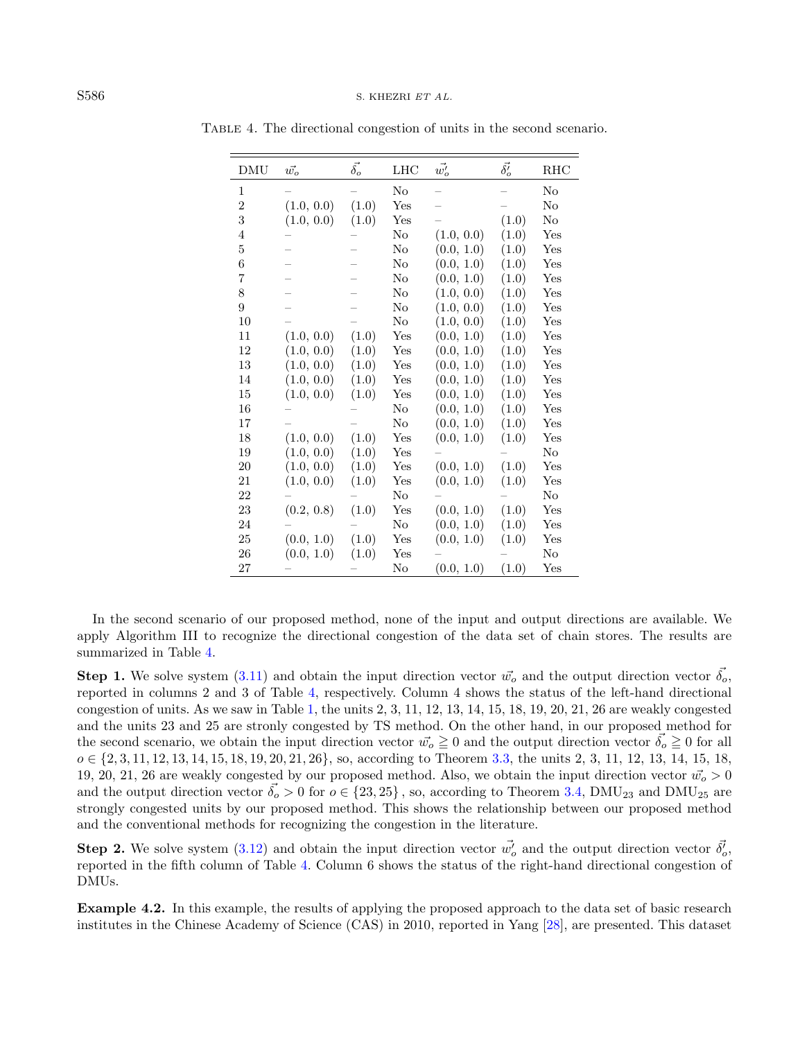| <b>DMU</b>     | $\vec{w_o}$ | $\vec{\delta_o}$ | LHC      | $\vec{w_o'}$ | $\vec{\delta_o'}$ | RHC      |
|----------------|-------------|------------------|----------|--------------|-------------------|----------|
| 1              |             |                  | No       |              |                   | $\rm No$ |
| $\overline{2}$ | (1.0, 0.0)  | (1.0)            | Yes      |              |                   | No       |
| 3              | (1.0, 0.0)  | (1.0)            | Yes      |              | (1.0)             | $\rm No$ |
| $\overline{4}$ |             |                  | $\rm No$ | (1.0, 0.0)   | (1.0)             | Yes      |
| $\overline{5}$ |             |                  | No       | (0.0, 1.0)   | (1.0)             | Yes      |
| 6              |             |                  | $\rm No$ | (0.0, 1.0)   | (1.0)             | Yes      |
| $\overline{7}$ |             |                  | No       | (0.0, 1.0)   | (1.0)             | Yes      |
| 8              |             |                  | No       | (1.0, 0.0)   | (1.0)             | Yes      |
| 9              |             |                  | No       | (1.0, 0.0)   | (1.0)             | Yes      |
| 10             |             |                  | $\rm No$ | (1.0, 0.0)   | (1.0)             | Yes      |
| 11             | (1.0, 0.0)  | (1.0)            | Yes      | (0.0, 1.0)   | (1.0)             | Yes      |
| 12             | (1.0, 0.0)  | (1.0)            | Yes      | (0.0, 1.0)   | (1.0)             | Yes      |
| 13             | (1.0, 0.0)  | (1.0)            | Yes      | (0.0, 1.0)   | (1.0)             | Yes      |
| 14             | (1.0, 0.0)  | (1.0)            | Yes      | (0.0, 1.0)   | (1.0)             | Yes      |
| 15             | (1.0, 0.0)  | (1.0)            | Yes      | (0.0, 1.0)   | (1.0)             | Yes      |
| 16             |             |                  | $\rm No$ | (0.0, 1.0)   | (1.0)             | Yes      |
| 17             |             |                  | $\rm No$ | (0.0, 1.0)   | (1.0)             | Yes      |
| 18             | (1.0, 0.0)  | (1.0)            | Yes      | (0.0, 1.0)   | (1.0)             | Yes      |
| 19             | (1.0, 0.0)  | (1.0)            | Yes      |              |                   | $\rm No$ |
| 20             | (1.0, 0.0)  | (1.0)            | Yes      | (0.0, 1.0)   | (1.0)             | Yes      |
| 21             | (1.0, 0.0)  | (1.0)            | Yes      | (0.0, 1.0)   | (1.0)             | Yes      |
| 22             |             |                  | No       |              |                   | $\rm No$ |
| 23             | (0.2, 0.8)  | (1.0)            | Yes      | (0.0, 1.0)   | (1.0)             | Yes      |
| 24             |             |                  | $\rm No$ | (0.0, 1.0)   | (1.0)             | Yes      |
| 25             | (0.0, 1.0)  | (1.0)            | Yes      | (0.0, 1.0)   | (1.0)             | Yes      |
| 26             | (0.0, 1.0)  | (1.0)            | Yes      |              |                   | $\rm No$ |
| 27             |             |                  | No       | (0.0, 1.0)   | (1.0)             | Yes      |

<span id="page-15-0"></span>TABLE 4. The directional congestion of units in the second scenario.

In the second scenario of our proposed method, none of the input and output directions are available. We apply Algorithm III to recognize the directional congestion of the data set of chain stores. The results are summarized in Table [4.](#page-15-0)

**Step 1.** We solve system [\(3.11\)](#page-11-0) and obtain the input direction vector  $\vec{w}_o$  and the output direction vector  $\vec{\delta}_o$ , reported in columns 2 and 3 of Table [4,](#page-15-0) respectively. Column 4 shows the status of the left-hand directional congestion of units. As we saw in Table [1,](#page-12-1) the units  $2, 3, 11, 12, 13, 14, 15, 18, 19, 20, 21, 26$  are weakly congested and the units 23 and 25 are stronly congested by TS method. On the other hand, in our proposed method for the second scenario, we obtain the input direction vector  $\vec{w}_o \geq 0$  and the output direction vector  $\vec{\delta}_o \geq 0$  for all  $o \in \{2, 3, 11, 12, 13, 14, 15, 18, 19, 20, 21, 26\}$ , so, according to Theorem [3.3,](#page-10-1) the units 2, 3, 11, 12, 13, 14, 15, 18, 19, 20, 21, 26 are weakly congested by our proposed method. Also, we obtain the input direction vector  $\vec{w}_o > 0$ and the output direction vector  $\vec{\delta_o} > 0$  for  $o \in \{23, 25\}$ , so, according to Theorem [3.4,](#page-10-0) DMU<sub>23</sub> and DMU<sub>25</sub> are strongly congested units by our proposed method. This shows the relationship between our proposed method and the conventional methods for recognizing the congestion in the literature.

**Step 2.** We solve system [\(3.12\)](#page-11-1) and obtain the input direction vector  $\vec{w}'_o$  and the output direction vector  $\vec{\delta}'_o$ . reported in the fifth column of Table [4.](#page-15-0) Column 6 shows the status of the right-hand directional congestion of DMUs.

<span id="page-15-1"></span>Example 4.2. In this example, the results of applying the proposed approach to the data set of basic research institutes in the Chinese Academy of Science (CAS) in 2010, reported in Yang [\[28\]](#page-20-8), are presented. This dataset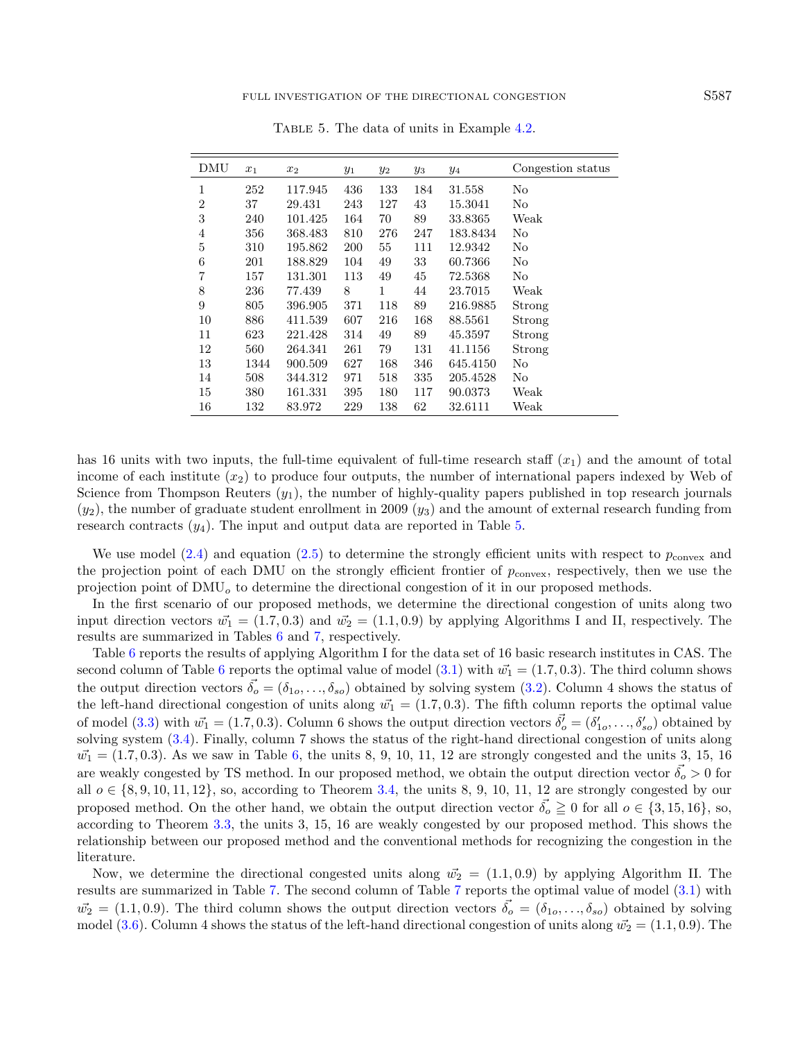| <b>DMU</b>     | $x_1$ | $x_2$   | $y_1$ | $y_2$ | yз  | У4       | Congestion status |
|----------------|-------|---------|-------|-------|-----|----------|-------------------|
| $\mathbf{1}$   | 252   | 117.945 | 436   | 133   | 184 | 31.558   | No                |
| $\overline{2}$ | 37    | 29.431  | 243   | 127   | 43  | 15.3041  | No                |
| 3              | 240   | 101.425 | 164   | 70    | 89  | 33.8365  | Weak              |
| $\overline{4}$ | 356   | 368.483 | 810   | 276   | 247 | 183.8434 | No                |
| 5              | 310   | 195.862 | 200   | 55    | 111 | 12.9342  | No                |
| 6              | 201   | 188.829 | 104   | 49    | 33  | 60.7366  | No                |
| 7              | 157   | 131.301 | 113   | 49    | 45  | 72.5368  | No                |
| 8              | 236   | 77.439  | 8     | 1     | 44  | 23.7015  | Weak              |
| 9              | 805   | 396.905 | 371   | 118   | 89  | 216.9885 | Strong            |
| 10             | 886   | 411.539 | 607   | 216   | 168 | 88.5561  | Strong            |
| 11             | 623   | 221.428 | 314   | 49    | 89  | 45.3597  | Strong            |
| 12             | 560   | 264.341 | 261   | 79    | 131 | 41.1156  | Strong            |
| 13             | 1344  | 900.509 | 627   | 168   | 346 | 645.4150 | No                |
| 14             | 508   | 344.312 | 971   | 518   | 335 | 205.4528 | No                |
| 15             | 380   | 161.331 | 395   | 180   | 117 | 90.0373  | Weak              |
| 16             | 132   | 83.972  | 229   | 138   | 62  | 32.6111  | Weak              |

<span id="page-16-0"></span>TABLE 5. The data of units in Example [4.2.](#page-15-1)

has 16 units with two inputs, the full-time equivalent of full-time research staff  $(x_1)$  and the amount of total income of each institute  $(x_2)$  to produce four outputs, the number of international papers indexed by Web of Science from Thompson Reuters  $(y_1)$ , the number of highly-quality papers published in top research journals  $(y_2)$ , the number of graduate student enrollment in 2009  $(y_3)$  and the amount of external research funding from research contracts  $(y_4)$ . The input and output data are reported in Table [5.](#page-16-0)

We use model [\(2.4\)](#page-3-0) and equation [\(2.5\)](#page-3-1) to determine the strongly efficient units with respect to  $p_{\text{convex}}$  and the projection point of each DMU on the strongly efficient frontier of  $p_{\text{convex}}$ , respectively, then we use the projection point of  $\text{DMU}_o$  to determine the directional congestion of it in our proposed methods.

In the first scenario of our proposed methods, we determine the directional congestion of units along two input direction vectors  $\vec{w_1} = (1.7, 0.3)$  and  $\vec{w_2} = (1.1, 0.9)$  by applying Algorithms I and II, respectively. The results are summarized in Tables [6](#page-17-0) and [7,](#page-17-1) respectively.

Table [6](#page-17-0) reports the results of applying Algorithm I for the data set of 16 basic research institutes in CAS. The second column of Table [6](#page-17-0) reports the optimal value of model [\(3.1\)](#page-5-1) with  $\vec{w_1} = (1.7, 0.3)$ . The third column shows the output direction vectors  $\vec{\delta}_o = (\delta_{1o}, \ldots, \delta_{so})$  obtained by solving system [\(3.2\)](#page-6-0). Column 4 shows the status of the left-hand directional congestion of units along  $\vec{w_1} = (1.7, 0.3)$ . The fifth column reports the optimal value of model [\(3.3\)](#page-6-1) with  $\vec{w_1} = (1.7, 0.3)$ . Column 6 shows the output direction vectors  $\vec{\delta'}_o = (\delta'_{1o}, \ldots, \delta'_{so})$  obtained by solving system [\(3.4\)](#page-7-1). Finally, column 7 shows the status of the right-hand directional congestion of units along  $\vec{w_1} = (1.7, 0.3)$ . As we saw in Table [6,](#page-17-0) the units 8, 9, 10, 11, 12 are strongly congested and the units 3, 15, 16 are weakly congested by TS method. In our proposed method, we obtain the output direction vector  $\delta_o > 0$  for all  $o \in \{8, 9, 10, 11, 12\}$ , so, according to Theorem [3.4,](#page-10-0) the units 8, 9, 10, 11, 12 are strongly congested by our proposed method. On the other hand, we obtain the output direction vector  $\delta_0 \geq 0$  for all  $o \in \{3, 15, 16\}$ , so, according to Theorem [3.3,](#page-10-1) the units 3, 15, 16 are weakly congested by our proposed method. This shows the relationship between our proposed method and the conventional methods for recognizing the congestion in the literature.

Now, we determine the directional congested units along  $\vec{w_2} = (1.1, 0.9)$  by applying Algorithm II. The results are summarized in Table [7.](#page-17-1) The second column of Table [7](#page-17-1) reports the optimal value of model [\(3.1\)](#page-5-1) with  $\vec{w_2} = (1.1, 0.9)$ . The third column shows the output direction vectors  $\vec{\delta_o} = (\delta_{1o}, \ldots, \delta_{so})$  obtained by solving model [\(3.6\)](#page-8-0). Column 4 shows the status of the left-hand directional congestion of units along  $\vec{w_2} = (1.1, 0.9)$ . The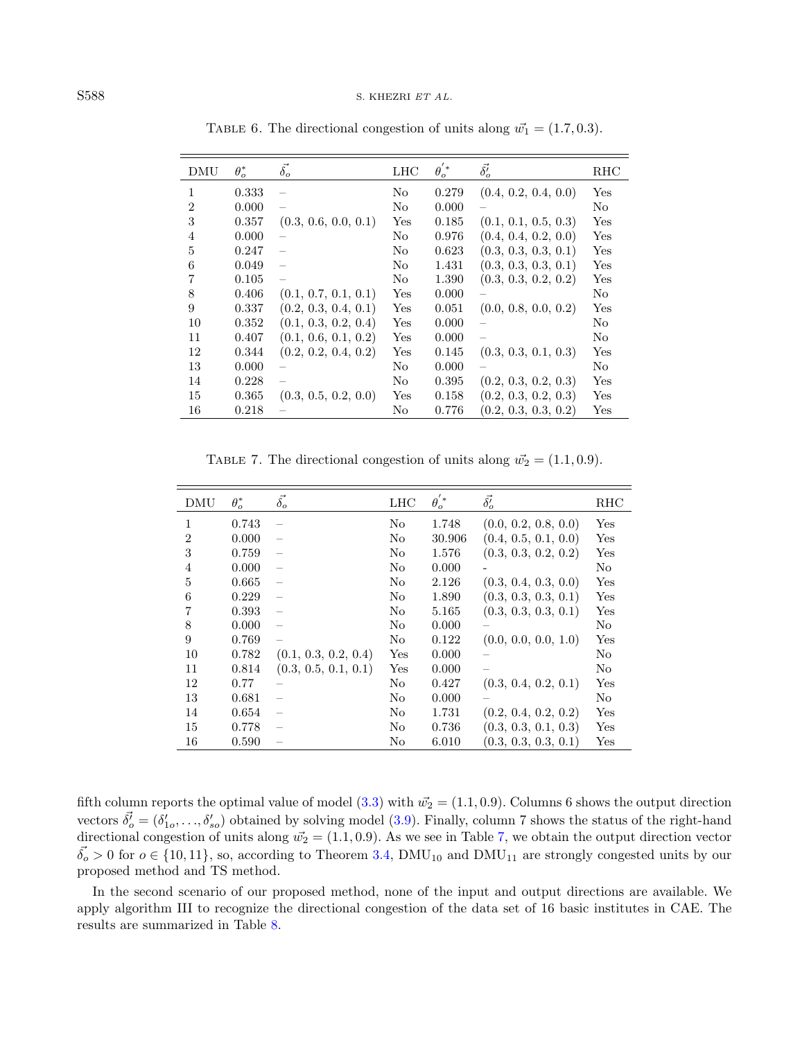<span id="page-17-1"></span>

| DMU | $\theta_o^*$ | $\vec{\delta_o}$     | LHC | $\theta_o^{'*}$ | $\vec{\delta_o}$     | RHC          |
|-----|--------------|----------------------|-----|-----------------|----------------------|--------------|
| 1   | 0.333        |                      | No  | 0.279           | (0.4, 0.2, 0.4, 0.0) | Yes          |
| 2   | 0.000        |                      | No  | 0.000           |                      | No           |
| 3   | 0.357        | (0.3, 0.6, 0.0, 0.1) | Yes | 0.185           | (0.1, 0.1, 0.5, 0.3) | Yes          |
| 4   | 0.000        |                      | No  | 0.976           | (0.4, 0.4, 0.2, 0.0) | Yes          |
| 5   | 0.247        |                      | No  | 0.623           | (0.3, 0.3, 0.3, 0.1) | Yes          |
| 6   | 0.049        |                      | No  | 1.431           | (0.3, 0.3, 0.3, 0.1) | Yes          |
|     | 0.105        |                      | No  | 1.390           | (0.3, 0.3, 0.2, 0.2) | Yes          |
| 8   | 0.406        | (0.1, 0.7, 0.1, 0.1) | Yes | 0.000           |                      | No           |
| 9   | 0.337        | (0.2, 0.3, 0.4, 0.1) | Yes | 0.051           | (0.0, 0.8, 0.0, 0.2) | Yes          |
| 10  | 0.352        | (0.1, 0.3, 0.2, 0.4) | Yes | 0.000           |                      | No           |
| 11  | 0.407        | (0.1, 0.6, 0.1, 0.2) | Yes | 0.000           |                      | No           |
| 12  | 0.344        | (0.2, 0.2, 0.4, 0.2) | Yes | 0.145           | (0.3, 0.3, 0.1, 0.3) | Yes          |
| 13  | 0.000        |                      | No  | 0.000           |                      | No           |
| 14  | 0.228        |                      | No  | 0.395           | (0.2, 0.3, 0.2, 0.3) | Yes          |
| 15  | 0.365        | (0.3, 0.5, 0.2, 0.0) | Yes | 0.158           | (0.2, 0.3, 0.2, 0.3) | Yes          |
| 16  | 0.218        |                      | No  | 0.776           | (0.2, 0.3, 0.3, 0.2) | $_{\rm Yes}$ |

<span id="page-17-0"></span>TABLE 6. The directional congestion of units along  $\vec{w_1} = (1.7, 0.3)$ .

TABLE 7. The directional congestion of units along  $\vec{w_2} = (1.1, 0.9)$ .

| DMU            | $\theta_o^*$ | $\vec{\delta_o}$     | <b>LHC</b> | $\theta_{o}^{'*}$ | $\vec{\delta_o'}$    | RHC |
|----------------|--------------|----------------------|------------|-------------------|----------------------|-----|
| 1              | 0.743        |                      | No         | 1.748             | (0.0, 0.2, 0.8, 0.0) | Yes |
| $\overline{2}$ | 0.000        |                      | No         | 30.906            | (0.4, 0.5, 0.1, 0.0) | Yes |
| 3              | 0.759        |                      | No         | 1.576             | (0.3, 0.3, 0.2, 0.2) | Yes |
| $\overline{4}$ | 0.000        |                      | No         | 0.000             |                      | No  |
| 5              | 0.665        |                      | No         | 2.126             | (0.3, 0.4, 0.3, 0.0) | Yes |
| 6              | 0.229        |                      | No         | 1.890             | (0.3, 0.3, 0.3, 0.1) | Yes |
| 7              | 0.393        |                      | No         | 5.165             | (0.3, 0.3, 0.3, 0.1) | Yes |
| 8              | 0.000        |                      | No         | 0.000             |                      | No  |
| 9              | 0.769        |                      | No         | 0.122             | (0.0, 0.0, 0.0, 1.0) | Yes |
| 10             | 0.782        | (0.1, 0.3, 0.2, 0.4) | Yes        | 0.000             |                      | No  |
| 11             | 0.814        | (0.3, 0.5, 0.1, 0.1) | Yes        | 0.000             |                      | No  |
| 12             | 0.77         |                      | No         | 0.427             | (0.3, 0.4, 0.2, 0.1) | Yes |
| 13             | 0.681        |                      | No         | 0.000             |                      | No  |
| 14             | 0.654        |                      | No         | 1.731             | (0.2, 0.4, 0.2, 0.2) | Yes |
| 15             | 0.778        |                      | No         | 0.736             | (0.3, 0.3, 0.1, 0.3) | Yes |
| 16             | 0.590        |                      | No         | 6.010             | (0.3, 0.3, 0.3, 0.1) | Yes |

fifth column reports the optimal value of model [\(3.3\)](#page-6-1) with  $\vec{w_2} = (1.1, 0.9)$ . Columns 6 shows the output direction vectors  $\vec{\delta}_o = (\delta'_{1o}, \ldots, \delta'_{so})$  obtained by solving model [\(3.9\)](#page-9-1). Finally, column 7 shows the status of the right-hand directional congestion of units along  $\vec{w_2} = (1.1, 0.9)$ . As we see in Table [7,](#page-17-1) we obtain the output direction vector  $\vec{\delta_o} > 0$  for  $o \in \{10, 11\}$ , so, according to Theorem [3.4,](#page-10-0) DMU<sub>10</sub> and DMU<sub>11</sub> are strongly congested units by our proposed method and TS method.

In the second scenario of our proposed method, none of the input and output directions are available. We apply algorithm III to recognize the directional congestion of the data set of 16 basic institutes in CAE. The results are summarized in Table [8.](#page-18-0)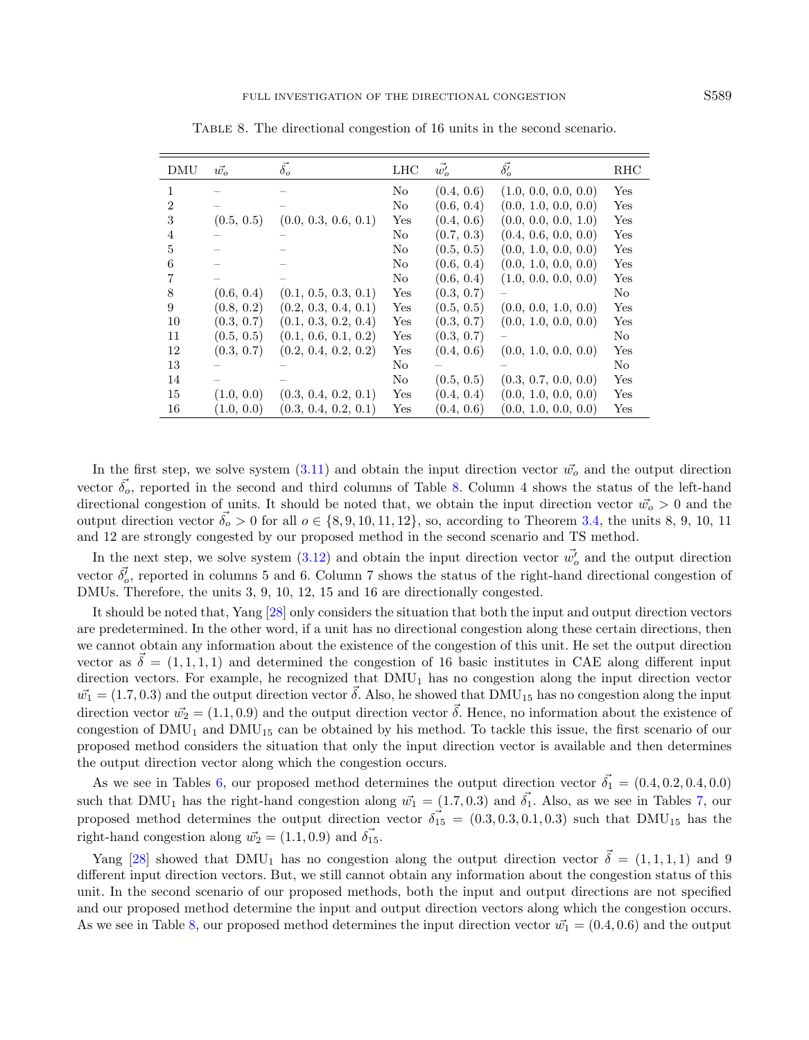| DMU            | $\vec{w}$  | $\vec{\delta_o}$     | <b>LHC</b> | $\vec{w_o'}$ | $\vec{\delta'_{o}}$  | RHC |
|----------------|------------|----------------------|------------|--------------|----------------------|-----|
| 1              |            |                      | No         | (0.4, 0.6)   | (1.0, 0.0, 0.0, 0.0) | Yes |
| $\overline{2}$ |            |                      | No         | (0.6, 0.4)   | (0.0, 1.0, 0.0, 0.0) | Yes |
| 3              | (0.5, 0.5) | (0.0, 0.3, 0.6, 0.1) | Yes        | (0.4, 0.6)   | (0.0, 0.0, 0.0, 1.0) | Yes |
| $\overline{4}$ |            |                      | No         | (0.7, 0.3)   | (0.4, 0.6, 0.0, 0.0) | Yes |
| 5              |            |                      | No         | (0.5, 0.5)   | (0.0, 1.0, 0.0, 0.0) | Yes |
| 6              |            |                      | No         | (0.6, 0.4)   | (0.0, 1.0, 0.0, 0.0) | Yes |
| 7              |            |                      | No         | (0.6, 0.4)   | (1.0, 0.0, 0.0, 0.0) | Yes |
| 8              | (0.6, 0.4) | (0.1, 0.5, 0.3, 0.1) | Yes        | (0.3, 0.7)   |                      | No  |
| 9              | (0.8, 0.2) | (0.2, 0.3, 0.4, 0.1) | Yes        | (0.5, 0.5)   | (0.0, 0.0, 1.0, 0.0) | Yes |
| 10             | (0.3, 0.7) | (0.1, 0.3, 0.2, 0.4) | Yes        | (0.3, 0.7)   | (0.0, 1.0, 0.0, 0.0) | Yes |
| 11             | (0.5, 0.5) | (0.1, 0.6, 0.1, 0.2) | Yes        | (0.3, 0.7)   |                      | No  |
| 12             | (0.3, 0.7) | (0.2, 0.4, 0.2, 0.2) | Yes        | (0.4, 0.6)   | (0.0, 1.0, 0.0, 0.0) | Yes |
| 13             |            |                      | No         |              |                      | No  |
| 14             |            |                      | No         | (0.5, 0.5)   | (0.3, 0.7, 0.0, 0.0) | Yes |
| 15             | (1.0, 0.0) | (0.3, 0.4, 0.2, 0.1) | Yes        | (0.4, 0.4)   | (0.0, 1.0, 0.0, 0.0) | Yes |
| 16             | (1.0, 0.0) | (0.3, 0.4, 0.2, 0.1) | Yes        | (0.4, 0.6)   | (0.0, 1.0, 0.0, 0.0) | Yes |

<span id="page-18-0"></span>Table 8. The directional congestion of 16 units in the second scenario.

In the first step, we solve system  $(3.11)$  and obtain the input direction vector  $\vec{w}_o$  and the output direction vector  $\vec{\delta}_{\rm o}$ , reported in the second and third columns of Table [8.](#page-18-0) Column 4 shows the status of the left-hand directional congestion of units. It should be noted that, we obtain the input direction vector  $\vec{w}_o > 0$  and the output direction vector  $\vec{\delta_0} > 0$  for all  $o \in \{8, 9, 10, 11, 12\}$ , so, according to Theorem [3.4,](#page-10-0) the units 8, 9, 10, 11 and 12 are strongly congested by our proposed method in the second scenario and TS method.

In the next step, we solve system  $(3.12)$  and obtain the input direction vector  $\vec{w}'_o$  and the output direction vector  $\vec{\delta}_o'$ , reported in columns 5 and 6. Column 7 shows the status of the right-hand directional congestion of DMUs. Therefore, the units 3, 9, 10, 12, 15 and 16 are directionally congested.

It should be noted that, Yang [\[28\]](#page-20-8) only considers the situation that both the input and output direction vectors are predetermined. In the other word, if a unit has no directional congestion along these certain directions, then we cannot obtain any information about the existence of the congestion of this unit. He set the output direction vector as  $\vec{\delta} = (1, 1, 1, 1)$  and determined the congestion of 16 basic institutes in CAE along different input direction vectors. For example, he recognized that  $DMU_1$  has no congestion along the input direction vector  $\vec{w_1} = (1.7, 0.3)$  and the output direction vector  $\vec{\delta}$ . Also, he showed that DMU<sub>15</sub> has no congestion along the input direction vector  $\vec{w_2} = (1.1, 0.9)$  and the output direction vector  $\vec{\delta}$ . Hence, no information about the existence of congestion of  $DMU_1$  and  $DMU_{15}$  can be obtained by his method. To tackle this issue, the first scenario of our proposed method considers the situation that only the input direction vector is available and then determines the output direction vector along which the congestion occurs.

As we see in Tables [6,](#page-17-0) our proposed method determines the output direction vector  $\vec{\delta}_1 = (0.4, 0.2, 0.4, 0.0)$ such that DMU<sub>1</sub> has the right-hand congestion along  $\vec{w_1} = (1.7, 0.3)$  $\vec{w_1} = (1.7, 0.3)$  $\vec{w_1} = (1.7, 0.3)$  and  $\vec{\delta_1}$ . Also, as we see in Tables 7, our proposed method determines the output direction vector  $\vec{\delta}_{15} = (0.3, 0.3, 0.1, 0.3)$  such that DMU<sub>15</sub> has the right-hand congestion along  $\vec{w_2} = (1.1, 0.9)$  and  $\vec{\delta_{15}}$ .

Yang [\[28\]](#page-20-8) showed that DMU<sub>1</sub> has no congestion along the output direction vector  $\vec{\delta} = (1, 1, 1, 1)$  and 9 different input direction vectors. But, we still cannot obtain any information about the congestion status of this unit. In the second scenario of our proposed methods, both the input and output directions are not specified and our proposed method determine the input and output direction vectors along which the congestion occurs. As we see in Table [8,](#page-18-0) our proposed method determines the input direction vector  $\vec{w_1} = (0.4, 0.6)$  and the output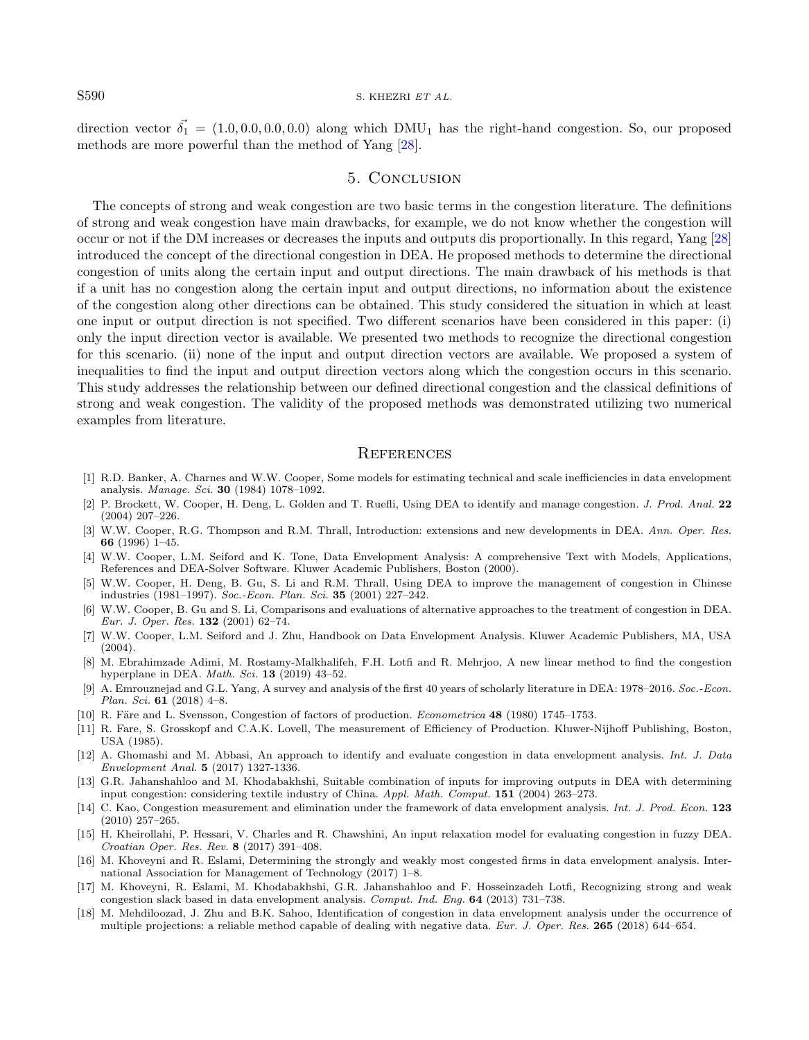### S590 S. KHEZRI ET AL.

direction vector  $\vec{\delta_1} = (1.0, 0.0, 0.0, 0.0)$  along which DMU<sub>1</sub> has the right-hand congestion. So, our proposed methods are more powerful than the method of Yang [\[28\]](#page-20-8).

## 5. Conclusion

<span id="page-19-17"></span><span id="page-19-15"></span><span id="page-19-14"></span><span id="page-19-4"></span>The concepts of strong and weak congestion are two basic terms in the congestion literature. The definitions of strong and weak congestion have main drawbacks, for example, we do not know whether the congestion will occur or not if the DM increases or decreases the inputs and outputs dis proportionally. In this regard, Yang [\[28\]](#page-20-8) introduced the concept of the directional congestion in DEA. He proposed methods to determine the directional congestion of units along the certain input and output directions. The main drawback of his methods is that if a unit has no congestion along the certain input and output directions, no information about the existence of the congestion along other directions can be obtained. This study considered the situation in which at least one input or output direction is not specified. Two different scenarios have been considered in this paper: (i) only the input direction vector is available. We presented two methods to recognize the directional congestion for this scenario. (ii) none of the input and output direction vectors are available. We proposed a system of inequalities to find the input and output direction vectors along which the congestion occurs in this scenario. This study addresses the relationship between our defined directional congestion and the classical definitions of strong and weak congestion. The validity of the proposed methods was demonstrated utilizing two numerical examples from literature.

### **REFERENCES**

- <span id="page-19-16"></span><span id="page-19-10"></span><span id="page-19-5"></span><span id="page-19-1"></span>[1] R.D. Banker, A. Charnes and W.W. Cooper, Some models for estimating technical and scale inefficiencies in data envelopment analysis. Manage. Sci. 30 (1984) 1078–1092.
- <span id="page-19-0"></span>[2] P. Brockett, W. Cooper, H. Deng, L. Golden and T. Ruefli, Using DEA to identify and manage congestion. J. Prod. Anal. 22 (2004) 207–226.
- <span id="page-19-3"></span><span id="page-19-2"></span>[3] W.W. Cooper, R.G. Thompson and R.M. Thrall, Introduction: extensions and new developments in DEA. Ann. Oper. Res. 66 (1996) 1–45.
- <span id="page-19-6"></span>[4] W.W. Cooper, L.M. Seiford and K. Tone, Data Envelopment Analysis: A comprehensive Text with Models, Applications, References and DEA-Solver Software. Kluwer Academic Publishers, Boston (2000).
- <span id="page-19-11"></span>[5] W.W. Cooper, H. Deng, B. Gu, S. Li and R.M. Thrall, Using DEA to improve the management of congestion in Chinese industries (1981–1997). Soc.-Econ. Plan. Sci. 35 (2001) 227–242.
- <span id="page-19-12"></span>[6] W.W. Cooper, B. Gu and S. Li, Comparisons and evaluations of alternative approaches to the treatment of congestion in DEA. Eur. J. Oper. Res. 132 (2001) 62–74.
- <span id="page-19-7"></span>[7] W.W. Cooper, L.M. Seiford and J. Zhu, Handbook on Data Envelopment Analysis. Kluwer Academic Publishers, MA, USA (2004).
- <span id="page-19-8"></span>[8] M. Ebrahimzade Adimi, M. Rostamy-Malkhalifeh, F.H. Lotfi and R. Mehrjoo, A new linear method to find the congestion hyperplane in DEA. *Math. Sci.* **13** (2019) 43-52.
- <span id="page-19-13"></span>[9] A. Emrouznejad and G.L. Yang, A survey and analysis of the first 40 years of scholarly literature in DEA: 1978–2016. Soc.-Econ. Plan. Sci. 61 (2018) 4–8.
- <span id="page-19-9"></span>[10] R. Färe and L. Svensson, Congestion of factors of production. Econometrica 48 (1980) 1745–1753.
- [11] R. Fare, S. Grosskopf and C.A.K. Lovell, The measurement of Efficiency of Production. Kluwer-Nijhoff Publishing, Boston, USA (1985).
- [12] A. Ghomashi and M. Abbasi, An approach to identify and evaluate congestion in data envelopment analysis. Int. J. Data Envelopment Anal. 5 (2017) 1327-1336.
- [13] G.R. Jahanshahloo and M. Khodabakhshi, Suitable combination of inputs for improving outputs in DEA with determining input congestion: considering textile industry of China. Appl. Math. Comput. 151 (2004) 263–273.
- [14] C. Kao, Congestion measurement and elimination under the framework of data envelopment analysis. Int. J. Prod. Econ. 123 (2010) 257–265.
- [15] H. Kheirollahi, P. Hessari, V. Charles and R. Chawshini, An input relaxation model for evaluating congestion in fuzzy DEA. Croatian Oper. Res. Rev. 8 (2017) 391–408.
- [16] M. Khoveyni and R. Eslami, Determining the strongly and weakly most congested firms in data envelopment analysis. International Association for Management of Technology (2017) 1–8.
- [17] M. Khoveyni, R. Eslami, M. Khodabakhshi, G.R. Jahanshahloo and F. Hosseinzadeh Lotfi, Recognizing strong and weak congestion slack based in data envelopment analysis. Comput. Ind. Eng. 64 (2013) 731–738.
- [18] M. Mehdiloozad, J. Zhu and B.K. Sahoo, Identification of congestion in data envelopment analysis under the occurrence of multiple projections: a reliable method capable of dealing with negative data. Eur. J. Oper. Res. 265 (2018) 644–654.